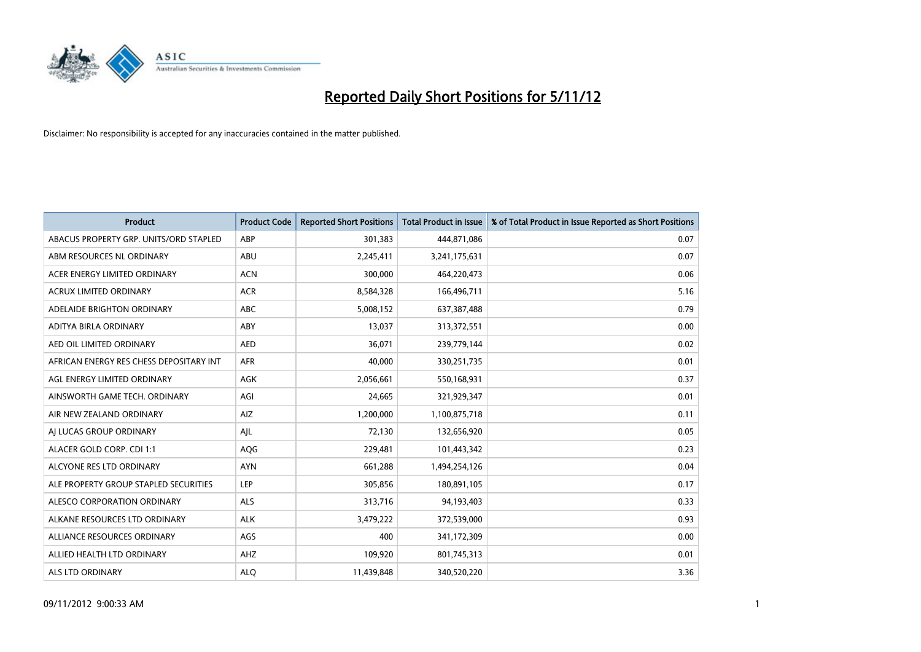

| <b>Product</b>                          | <b>Product Code</b> | <b>Reported Short Positions</b> | <b>Total Product in Issue</b> | % of Total Product in Issue Reported as Short Positions |
|-----------------------------------------|---------------------|---------------------------------|-------------------------------|---------------------------------------------------------|
| ABACUS PROPERTY GRP. UNITS/ORD STAPLED  | ABP                 | 301,383                         | 444,871,086                   | 0.07                                                    |
| ABM RESOURCES NL ORDINARY               | ABU                 | 2,245,411                       | 3,241,175,631                 | 0.07                                                    |
| ACER ENERGY LIMITED ORDINARY            | <b>ACN</b>          | 300,000                         | 464,220,473                   | 0.06                                                    |
| ACRUX LIMITED ORDINARY                  | <b>ACR</b>          | 8,584,328                       | 166,496,711                   | 5.16                                                    |
| ADELAIDE BRIGHTON ORDINARY              | <b>ABC</b>          | 5,008,152                       | 637, 387, 488                 | 0.79                                                    |
| ADITYA BIRLA ORDINARY                   | ABY                 | 13,037                          | 313,372,551                   | 0.00                                                    |
| AED OIL LIMITED ORDINARY                | <b>AED</b>          | 36.071                          | 239,779,144                   | 0.02                                                    |
| AFRICAN ENERGY RES CHESS DEPOSITARY INT | <b>AFR</b>          | 40,000                          | 330,251,735                   | 0.01                                                    |
| AGL ENERGY LIMITED ORDINARY             | AGK                 | 2,056,661                       | 550,168,931                   | 0.37                                                    |
| AINSWORTH GAME TECH. ORDINARY           | AGI                 | 24,665                          | 321,929,347                   | 0.01                                                    |
| AIR NEW ZEALAND ORDINARY                | AIZ                 | 1,200,000                       | 1,100,875,718                 | 0.11                                                    |
| AI LUCAS GROUP ORDINARY                 | AJL                 | 72,130                          | 132,656,920                   | 0.05                                                    |
| ALACER GOLD CORP. CDI 1:1               | AQG                 | 229,481                         | 101,443,342                   | 0.23                                                    |
| ALCYONE RES LTD ORDINARY                | <b>AYN</b>          | 661,288                         | 1,494,254,126                 | 0.04                                                    |
| ALE PROPERTY GROUP STAPLED SECURITIES   | LEP                 | 305,856                         | 180,891,105                   | 0.17                                                    |
| ALESCO CORPORATION ORDINARY             | <b>ALS</b>          | 313,716                         | 94,193,403                    | 0.33                                                    |
| ALKANE RESOURCES LTD ORDINARY           | <b>ALK</b>          | 3,479,222                       | 372,539,000                   | 0.93                                                    |
| ALLIANCE RESOURCES ORDINARY             | AGS                 | 400                             | 341,172,309                   | 0.00                                                    |
| ALLIED HEALTH LTD ORDINARY              | AHZ                 | 109,920                         | 801,745,313                   | 0.01                                                    |
| ALS LTD ORDINARY                        | <b>ALO</b>          | 11,439,848                      | 340,520,220                   | 3.36                                                    |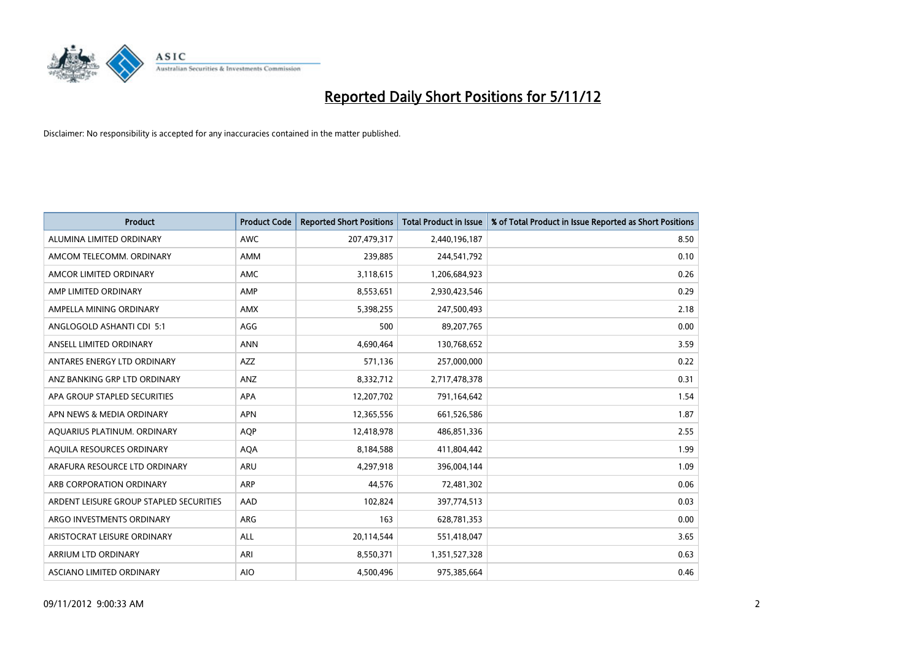

| <b>Product</b>                          | <b>Product Code</b> | <b>Reported Short Positions</b> | <b>Total Product in Issue</b> | % of Total Product in Issue Reported as Short Positions |
|-----------------------------------------|---------------------|---------------------------------|-------------------------------|---------------------------------------------------------|
| ALUMINA LIMITED ORDINARY                | <b>AWC</b>          | 207,479,317                     | 2,440,196,187                 | 8.50                                                    |
| AMCOM TELECOMM. ORDINARY                | <b>AMM</b>          | 239,885                         | 244,541,792                   | 0.10                                                    |
| AMCOR LIMITED ORDINARY                  | AMC                 | 3,118,615                       | 1,206,684,923                 | 0.26                                                    |
| AMP LIMITED ORDINARY                    | AMP                 | 8,553,651                       | 2,930,423,546                 | 0.29                                                    |
| AMPELLA MINING ORDINARY                 | <b>AMX</b>          | 5,398,255                       | 247,500,493                   | 2.18                                                    |
| ANGLOGOLD ASHANTI CDI 5:1               | AGG                 | 500                             | 89,207,765                    | 0.00                                                    |
| ANSELL LIMITED ORDINARY                 | <b>ANN</b>          | 4,690,464                       | 130,768,652                   | 3.59                                                    |
| ANTARES ENERGY LTD ORDINARY             | <b>AZZ</b>          | 571,136                         | 257,000,000                   | 0.22                                                    |
| ANZ BANKING GRP LTD ORDINARY            | ANZ                 | 8,332,712                       | 2,717,478,378                 | 0.31                                                    |
| APA GROUP STAPLED SECURITIES            | <b>APA</b>          | 12,207,702                      | 791,164,642                   | 1.54                                                    |
| APN NEWS & MEDIA ORDINARY               | <b>APN</b>          | 12,365,556                      | 661,526,586                   | 1.87                                                    |
| AQUARIUS PLATINUM. ORDINARY             | <b>AQP</b>          | 12,418,978                      | 486,851,336                   | 2.55                                                    |
| AQUILA RESOURCES ORDINARY               | <b>AQA</b>          | 8,184,588                       | 411,804,442                   | 1.99                                                    |
| ARAFURA RESOURCE LTD ORDINARY           | ARU                 | 4,297,918                       | 396,004,144                   | 1.09                                                    |
| ARB CORPORATION ORDINARY                | ARP                 | 44,576                          | 72,481,302                    | 0.06                                                    |
| ARDENT LEISURE GROUP STAPLED SECURITIES | AAD                 | 102,824                         | 397,774,513                   | 0.03                                                    |
| ARGO INVESTMENTS ORDINARY               | ARG                 | 163                             | 628,781,353                   | 0.00                                                    |
| ARISTOCRAT LEISURE ORDINARY             | <b>ALL</b>          | 20,114,544                      | 551,418,047                   | 3.65                                                    |
| <b>ARRIUM LTD ORDINARY</b>              | ARI                 | 8,550,371                       | 1,351,527,328                 | 0.63                                                    |
| ASCIANO LIMITED ORDINARY                | <b>AIO</b>          | 4,500,496                       | 975,385,664                   | 0.46                                                    |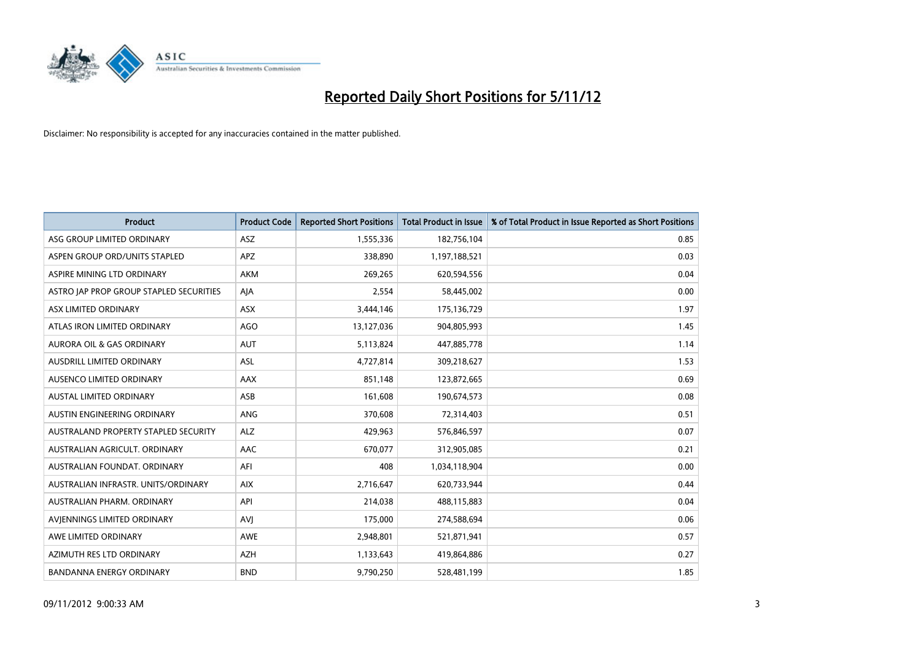

| <b>Product</b>                              | <b>Product Code</b> | <b>Reported Short Positions</b> | <b>Total Product in Issue</b> | % of Total Product in Issue Reported as Short Positions |
|---------------------------------------------|---------------------|---------------------------------|-------------------------------|---------------------------------------------------------|
| ASG GROUP LIMITED ORDINARY                  | <b>ASZ</b>          | 1,555,336                       | 182,756,104                   | 0.85                                                    |
| ASPEN GROUP ORD/UNITS STAPLED               | <b>APZ</b>          | 338,890                         | 1,197,188,521                 | 0.03                                                    |
| ASPIRE MINING LTD ORDINARY                  | <b>AKM</b>          | 269,265                         | 620,594,556                   | 0.04                                                    |
| ASTRO JAP PROP GROUP STAPLED SECURITIES     | AJA                 | 2,554                           | 58,445,002                    | 0.00                                                    |
| <b>ASX LIMITED ORDINARY</b>                 | ASX                 | 3,444,146                       | 175,136,729                   | 1.97                                                    |
| ATLAS IRON LIMITED ORDINARY                 | <b>AGO</b>          | 13,127,036                      | 904,805,993                   | 1.45                                                    |
| AURORA OIL & GAS ORDINARY                   | <b>AUT</b>          | 5,113,824                       | 447,885,778                   | 1.14                                                    |
| AUSDRILL LIMITED ORDINARY                   | <b>ASL</b>          | 4,727,814                       | 309,218,627                   | 1.53                                                    |
| AUSENCO LIMITED ORDINARY                    | AAX                 | 851,148                         | 123,872,665                   | 0.69                                                    |
| <b>AUSTAL LIMITED ORDINARY</b>              | ASB                 | 161,608                         | 190,674,573                   | 0.08                                                    |
| AUSTIN ENGINEERING ORDINARY                 | ANG                 | 370,608                         | 72,314,403                    | 0.51                                                    |
| <b>AUSTRALAND PROPERTY STAPLED SECURITY</b> | <b>ALZ</b>          | 429,963                         | 576,846,597                   | 0.07                                                    |
| AUSTRALIAN AGRICULT. ORDINARY               | AAC                 | 670,077                         | 312,905,085                   | 0.21                                                    |
| AUSTRALIAN FOUNDAT, ORDINARY                | AFI                 | 408                             | 1,034,118,904                 | 0.00                                                    |
| AUSTRALIAN INFRASTR, UNITS/ORDINARY         | <b>AIX</b>          | 2,716,647                       | 620,733,944                   | 0.44                                                    |
| AUSTRALIAN PHARM. ORDINARY                  | API                 | 214,038                         | 488,115,883                   | 0.04                                                    |
| AVIENNINGS LIMITED ORDINARY                 | AVI                 | 175,000                         | 274,588,694                   | 0.06                                                    |
| AWE LIMITED ORDINARY                        | <b>AWE</b>          | 2,948,801                       | 521,871,941                   | 0.57                                                    |
| AZIMUTH RES LTD ORDINARY                    | <b>AZH</b>          | 1,133,643                       | 419,864,886                   | 0.27                                                    |
| <b>BANDANNA ENERGY ORDINARY</b>             | <b>BND</b>          | 9,790,250                       | 528,481,199                   | 1.85                                                    |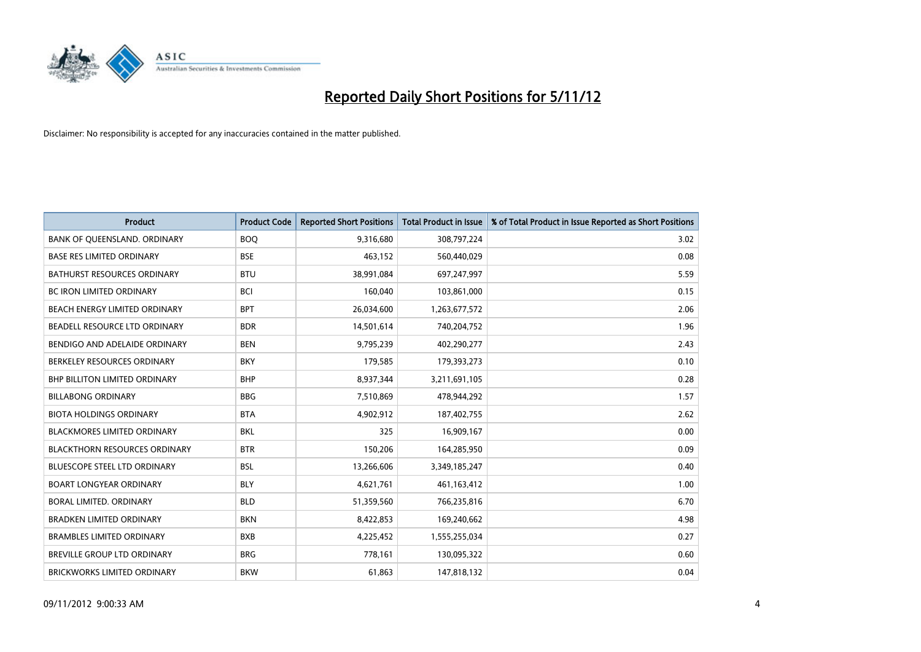

| <b>Product</b>                       | <b>Product Code</b> | <b>Reported Short Positions</b> | <b>Total Product in Issue</b> | % of Total Product in Issue Reported as Short Positions |
|--------------------------------------|---------------------|---------------------------------|-------------------------------|---------------------------------------------------------|
| BANK OF QUEENSLAND. ORDINARY         | <b>BOQ</b>          | 9,316,680                       | 308,797,224                   | 3.02                                                    |
| <b>BASE RES LIMITED ORDINARY</b>     | <b>BSE</b>          | 463,152                         | 560,440,029                   | 0.08                                                    |
| <b>BATHURST RESOURCES ORDINARY</b>   | <b>BTU</b>          | 38,991,084                      | 697,247,997                   | 5.59                                                    |
| BC IRON LIMITED ORDINARY             | <b>BCI</b>          | 160,040                         | 103,861,000                   | 0.15                                                    |
| BEACH ENERGY LIMITED ORDINARY        | <b>BPT</b>          | 26,034,600                      | 1,263,677,572                 | 2.06                                                    |
| BEADELL RESOURCE LTD ORDINARY        | <b>BDR</b>          | 14,501,614                      | 740,204,752                   | 1.96                                                    |
| BENDIGO AND ADELAIDE ORDINARY        | <b>BEN</b>          | 9,795,239                       | 402,290,277                   | 2.43                                                    |
| BERKELEY RESOURCES ORDINARY          | <b>BKY</b>          | 179,585                         | 179,393,273                   | 0.10                                                    |
| <b>BHP BILLITON LIMITED ORDINARY</b> | <b>BHP</b>          | 8,937,344                       | 3,211,691,105                 | 0.28                                                    |
| <b>BILLABONG ORDINARY</b>            | <b>BBG</b>          | 7,510,869                       | 478,944,292                   | 1.57                                                    |
| <b>BIOTA HOLDINGS ORDINARY</b>       | <b>BTA</b>          | 4,902,912                       | 187,402,755                   | 2.62                                                    |
| <b>BLACKMORES LIMITED ORDINARY</b>   | <b>BKL</b>          | 325                             | 16,909,167                    | 0.00                                                    |
| <b>BLACKTHORN RESOURCES ORDINARY</b> | <b>BTR</b>          | 150,206                         | 164,285,950                   | 0.09                                                    |
| <b>BLUESCOPE STEEL LTD ORDINARY</b>  | <b>BSL</b>          | 13,266,606                      | 3,349,185,247                 | 0.40                                                    |
| <b>BOART LONGYEAR ORDINARY</b>       | <b>BLY</b>          | 4,621,761                       | 461, 163, 412                 | 1.00                                                    |
| BORAL LIMITED, ORDINARY              | <b>BLD</b>          | 51,359,560                      | 766,235,816                   | 6.70                                                    |
| <b>BRADKEN LIMITED ORDINARY</b>      | <b>BKN</b>          | 8,422,853                       | 169,240,662                   | 4.98                                                    |
| <b>BRAMBLES LIMITED ORDINARY</b>     | <b>BXB</b>          | 4,225,452                       | 1,555,255,034                 | 0.27                                                    |
| <b>BREVILLE GROUP LTD ORDINARY</b>   | <b>BRG</b>          | 778,161                         | 130,095,322                   | 0.60                                                    |
| <b>BRICKWORKS LIMITED ORDINARY</b>   | <b>BKW</b>          | 61,863                          | 147,818,132                   | 0.04                                                    |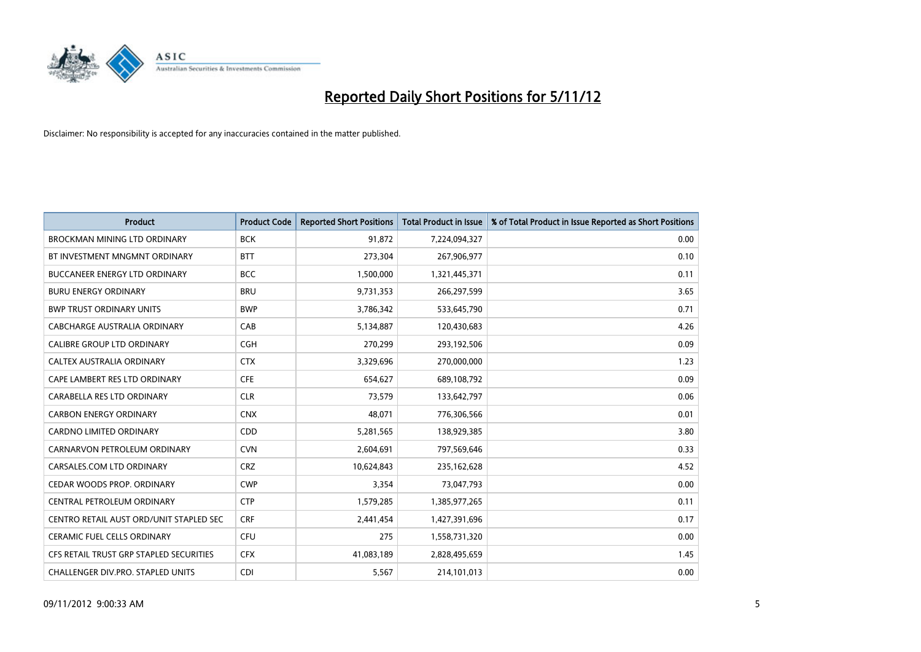

| <b>Product</b>                          | <b>Product Code</b> | <b>Reported Short Positions</b> | <b>Total Product in Issue</b> | % of Total Product in Issue Reported as Short Positions |
|-----------------------------------------|---------------------|---------------------------------|-------------------------------|---------------------------------------------------------|
| <b>BROCKMAN MINING LTD ORDINARY</b>     | <b>BCK</b>          | 91,872                          | 7,224,094,327                 | 0.00                                                    |
| BT INVESTMENT MNGMNT ORDINARY           | <b>BTT</b>          | 273,304                         | 267,906,977                   | 0.10                                                    |
| <b>BUCCANEER ENERGY LTD ORDINARY</b>    | <b>BCC</b>          | 1,500,000                       | 1,321,445,371                 | 0.11                                                    |
| <b>BURU ENERGY ORDINARY</b>             | <b>BRU</b>          | 9,731,353                       | 266,297,599                   | 3.65                                                    |
| <b>BWP TRUST ORDINARY UNITS</b>         | <b>BWP</b>          | 3,786,342                       | 533,645,790                   | 0.71                                                    |
| CABCHARGE AUSTRALIA ORDINARY            | CAB                 | 5,134,887                       | 120,430,683                   | 4.26                                                    |
| <b>CALIBRE GROUP LTD ORDINARY</b>       | <b>CGH</b>          | 270,299                         | 293,192,506                   | 0.09                                                    |
| CALTEX AUSTRALIA ORDINARY               | <b>CTX</b>          | 3,329,696                       | 270,000,000                   | 1.23                                                    |
| CAPE LAMBERT RES LTD ORDINARY           | <b>CFE</b>          | 654,627                         | 689,108,792                   | 0.09                                                    |
| CARABELLA RES LTD ORDINARY              | <b>CLR</b>          | 73,579                          | 133,642,797                   | 0.06                                                    |
| <b>CARBON ENERGY ORDINARY</b>           | <b>CNX</b>          | 48,071                          | 776,306,566                   | 0.01                                                    |
| <b>CARDNO LIMITED ORDINARY</b>          | <b>CDD</b>          | 5,281,565                       | 138,929,385                   | 3.80                                                    |
| CARNARVON PETROLEUM ORDINARY            | <b>CVN</b>          | 2,604,691                       | 797,569,646                   | 0.33                                                    |
| CARSALES.COM LTD ORDINARY               | <b>CRZ</b>          | 10,624,843                      | 235,162,628                   | 4.52                                                    |
| CEDAR WOODS PROP. ORDINARY              | <b>CWP</b>          | 3,354                           | 73,047,793                    | 0.00                                                    |
| CENTRAL PETROLEUM ORDINARY              | <b>CTP</b>          | 1,579,285                       | 1,385,977,265                 | 0.11                                                    |
| CENTRO RETAIL AUST ORD/UNIT STAPLED SEC | <b>CRF</b>          | 2,441,454                       | 1,427,391,696                 | 0.17                                                    |
| <b>CERAMIC FUEL CELLS ORDINARY</b>      | CFU                 | 275                             | 1,558,731,320                 | 0.00                                                    |
| CFS RETAIL TRUST GRP STAPLED SECURITIES | <b>CFX</b>          | 41,083,189                      | 2,828,495,659                 | 1.45                                                    |
| CHALLENGER DIV.PRO. STAPLED UNITS       | <b>CDI</b>          | 5,567                           | 214,101,013                   | 0.00                                                    |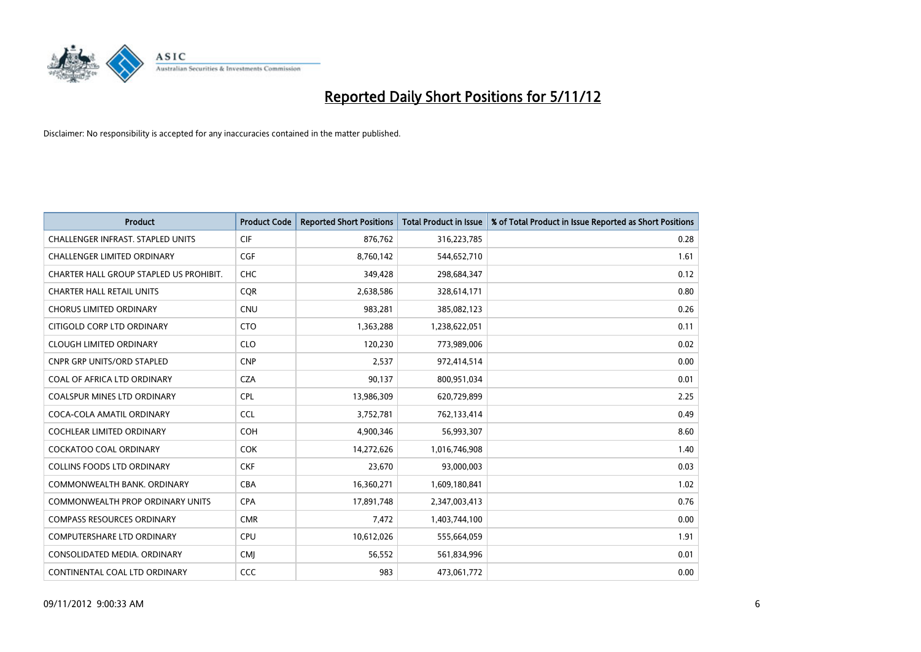

| <b>Product</b>                           | <b>Product Code</b> | <b>Reported Short Positions</b> | <b>Total Product in Issue</b> | % of Total Product in Issue Reported as Short Positions |
|------------------------------------------|---------------------|---------------------------------|-------------------------------|---------------------------------------------------------|
| <b>CHALLENGER INFRAST, STAPLED UNITS</b> | <b>CIF</b>          | 876,762                         | 316,223,785                   | 0.28                                                    |
| CHALLENGER LIMITED ORDINARY              | <b>CGF</b>          | 8,760,142                       | 544,652,710                   | 1.61                                                    |
| CHARTER HALL GROUP STAPLED US PROHIBIT.  | <b>CHC</b>          | 349,428                         | 298,684,347                   | 0.12                                                    |
| <b>CHARTER HALL RETAIL UNITS</b>         | <b>COR</b>          | 2,638,586                       | 328,614,171                   | 0.80                                                    |
| <b>CHORUS LIMITED ORDINARY</b>           | <b>CNU</b>          | 983,281                         | 385,082,123                   | 0.26                                                    |
| CITIGOLD CORP LTD ORDINARY               | <b>CTO</b>          | 1,363,288                       | 1,238,622,051                 | 0.11                                                    |
| <b>CLOUGH LIMITED ORDINARY</b>           | <b>CLO</b>          | 120,230                         | 773,989,006                   | 0.02                                                    |
| <b>CNPR GRP UNITS/ORD STAPLED</b>        | <b>CNP</b>          | 2,537                           | 972,414,514                   | 0.00                                                    |
| COAL OF AFRICA LTD ORDINARY              | <b>CZA</b>          | 90,137                          | 800,951,034                   | 0.01                                                    |
| <b>COALSPUR MINES LTD ORDINARY</b>       | <b>CPL</b>          | 13,986,309                      | 620,729,899                   | 2.25                                                    |
| COCA-COLA AMATIL ORDINARY                | <b>CCL</b>          | 3,752,781                       | 762,133,414                   | 0.49                                                    |
| <b>COCHLEAR LIMITED ORDINARY</b>         | <b>COH</b>          | 4,900,346                       | 56,993,307                    | 8.60                                                    |
| COCKATOO COAL ORDINARY                   | <b>COK</b>          | 14,272,626                      | 1,016,746,908                 | 1.40                                                    |
| <b>COLLINS FOODS LTD ORDINARY</b>        | <b>CKF</b>          | 23,670                          | 93,000,003                    | 0.03                                                    |
| COMMONWEALTH BANK, ORDINARY              | CBA                 | 16,360,271                      | 1,609,180,841                 | 1.02                                                    |
| COMMONWEALTH PROP ORDINARY UNITS         | <b>CPA</b>          | 17,891,748                      | 2,347,003,413                 | 0.76                                                    |
| <b>COMPASS RESOURCES ORDINARY</b>        | <b>CMR</b>          | 7,472                           | 1,403,744,100                 | 0.00                                                    |
| COMPUTERSHARE LTD ORDINARY               | <b>CPU</b>          | 10,612,026                      | 555,664,059                   | 1.91                                                    |
| CONSOLIDATED MEDIA, ORDINARY             | <b>CMI</b>          | 56,552                          | 561,834,996                   | 0.01                                                    |
| CONTINENTAL COAL LTD ORDINARY            | CCC                 | 983                             | 473,061,772                   | 0.00                                                    |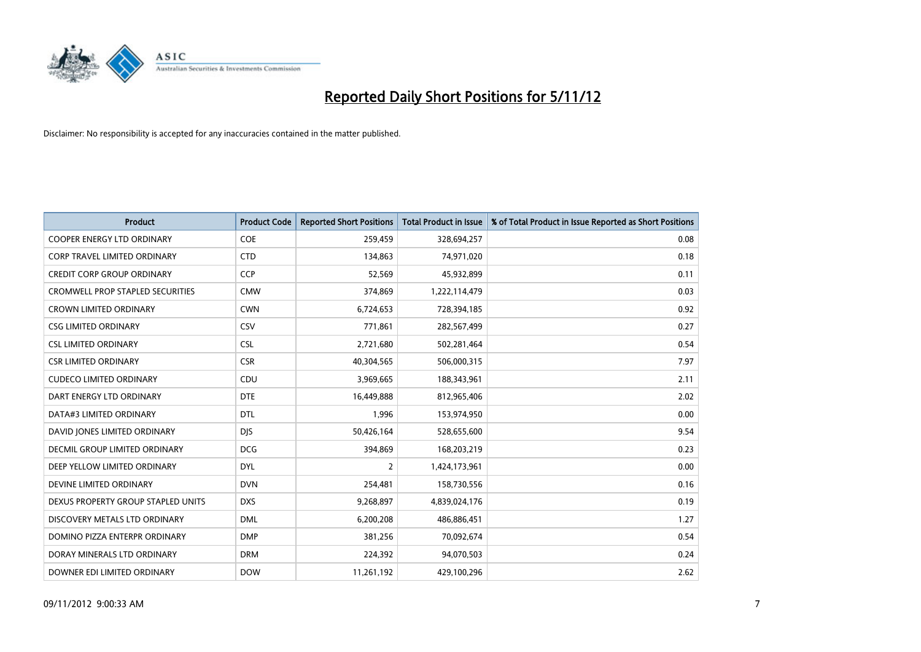

| <b>Product</b>                          | <b>Product Code</b> | <b>Reported Short Positions</b> | <b>Total Product in Issue</b> | % of Total Product in Issue Reported as Short Positions |
|-----------------------------------------|---------------------|---------------------------------|-------------------------------|---------------------------------------------------------|
| <b>COOPER ENERGY LTD ORDINARY</b>       | <b>COE</b>          | 259,459                         | 328,694,257                   | 0.08                                                    |
| <b>CORP TRAVEL LIMITED ORDINARY</b>     | <b>CTD</b>          | 134,863                         | 74,971,020                    | 0.18                                                    |
| <b>CREDIT CORP GROUP ORDINARY</b>       | <b>CCP</b>          | 52,569                          | 45,932,899                    | 0.11                                                    |
| <b>CROMWELL PROP STAPLED SECURITIES</b> | <b>CMW</b>          | 374,869                         | 1,222,114,479                 | 0.03                                                    |
| <b>CROWN LIMITED ORDINARY</b>           | <b>CWN</b>          | 6,724,653                       | 728,394,185                   | 0.92                                                    |
| <b>CSG LIMITED ORDINARY</b>             | CSV                 | 771,861                         | 282,567,499                   | 0.27                                                    |
| <b>CSL LIMITED ORDINARY</b>             | <b>CSL</b>          | 2,721,680                       | 502,281,464                   | 0.54                                                    |
| <b>CSR LIMITED ORDINARY</b>             | <b>CSR</b>          | 40,304,565                      | 506,000,315                   | 7.97                                                    |
| <b>CUDECO LIMITED ORDINARY</b>          | CDU                 | 3,969,665                       | 188,343,961                   | 2.11                                                    |
| DART ENERGY LTD ORDINARY                | <b>DTE</b>          | 16,449,888                      | 812,965,406                   | 2.02                                                    |
| DATA#3 LIMITED ORDINARY                 | <b>DTL</b>          | 1,996                           | 153,974,950                   | 0.00                                                    |
| DAVID JONES LIMITED ORDINARY            | <b>DJS</b>          | 50,426,164                      | 528,655,600                   | 9.54                                                    |
| <b>DECMIL GROUP LIMITED ORDINARY</b>    | <b>DCG</b>          | 394,869                         | 168,203,219                   | 0.23                                                    |
| DEEP YELLOW LIMITED ORDINARY            | <b>DYL</b>          | 2                               | 1,424,173,961                 | 0.00                                                    |
| DEVINE LIMITED ORDINARY                 | <b>DVN</b>          | 254,481                         | 158,730,556                   | 0.16                                                    |
| DEXUS PROPERTY GROUP STAPLED UNITS      | <b>DXS</b>          | 9,268,897                       | 4,839,024,176                 | 0.19                                                    |
| DISCOVERY METALS LTD ORDINARY           | <b>DML</b>          | 6,200,208                       | 486,886,451                   | 1.27                                                    |
| DOMINO PIZZA ENTERPR ORDINARY           | <b>DMP</b>          | 381,256                         | 70,092,674                    | 0.54                                                    |
| DORAY MINERALS LTD ORDINARY             | <b>DRM</b>          | 224,392                         | 94,070,503                    | 0.24                                                    |
| DOWNER EDI LIMITED ORDINARY             | <b>DOW</b>          | 11,261,192                      | 429,100,296                   | 2.62                                                    |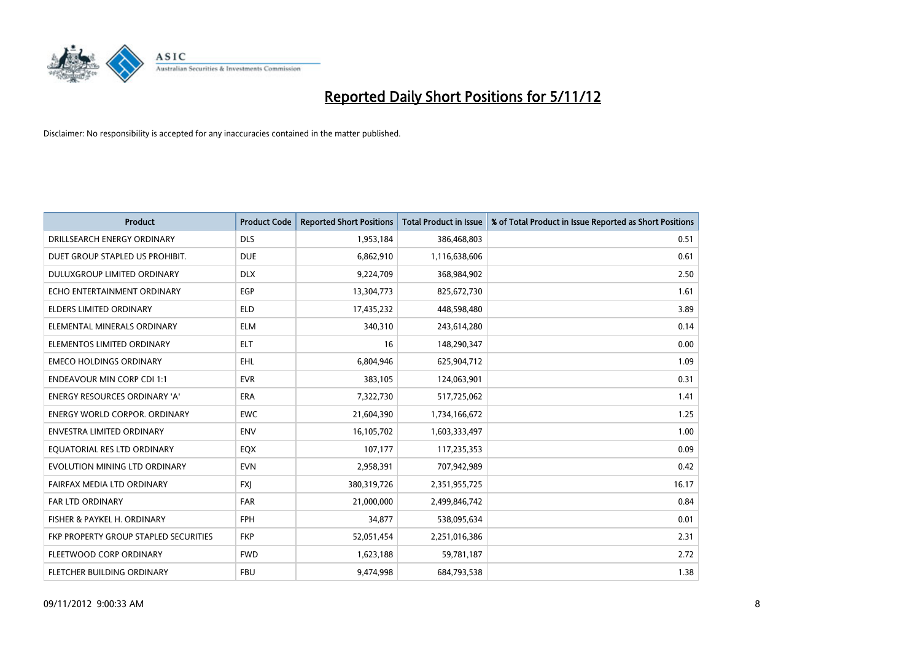

| <b>Product</b>                        | <b>Product Code</b> | <b>Reported Short Positions</b> | <b>Total Product in Issue</b> | % of Total Product in Issue Reported as Short Positions |
|---------------------------------------|---------------------|---------------------------------|-------------------------------|---------------------------------------------------------|
| DRILLSEARCH ENERGY ORDINARY           | <b>DLS</b>          | 1,953,184                       | 386,468,803                   | 0.51                                                    |
| DUET GROUP STAPLED US PROHIBIT.       | <b>DUE</b>          | 6,862,910                       | 1,116,638,606                 | 0.61                                                    |
| <b>DULUXGROUP LIMITED ORDINARY</b>    | <b>DLX</b>          | 9,224,709                       | 368,984,902                   | 2.50                                                    |
| ECHO ENTERTAINMENT ORDINARY           | EGP                 | 13,304,773                      | 825,672,730                   | 1.61                                                    |
| <b>ELDERS LIMITED ORDINARY</b>        | <b>ELD</b>          | 17,435,232                      | 448,598,480                   | 3.89                                                    |
| ELEMENTAL MINERALS ORDINARY           | <b>ELM</b>          | 340,310                         | 243,614,280                   | 0.14                                                    |
| ELEMENTOS LIMITED ORDINARY            | <b>ELT</b>          | 16                              | 148,290,347                   | 0.00                                                    |
| <b>EMECO HOLDINGS ORDINARY</b>        | <b>EHL</b>          | 6,804,946                       | 625,904,712                   | 1.09                                                    |
| <b>ENDEAVOUR MIN CORP CDI 1:1</b>     | <b>EVR</b>          | 383,105                         | 124,063,901                   | 0.31                                                    |
| <b>ENERGY RESOURCES ORDINARY 'A'</b>  | <b>ERA</b>          | 7,322,730                       | 517,725,062                   | 1.41                                                    |
| <b>ENERGY WORLD CORPOR. ORDINARY</b>  | <b>EWC</b>          | 21,604,390                      | 1,734,166,672                 | 1.25                                                    |
| <b>ENVESTRA LIMITED ORDINARY</b>      | <b>ENV</b>          | 16,105,702                      | 1,603,333,497                 | 1.00                                                    |
| EQUATORIAL RES LTD ORDINARY           | <b>EQX</b>          | 107,177                         | 117,235,353                   | 0.09                                                    |
| EVOLUTION MINING LTD ORDINARY         | <b>EVN</b>          | 2,958,391                       | 707,942,989                   | 0.42                                                    |
| FAIRFAX MEDIA LTD ORDINARY            | <b>FXI</b>          | 380,319,726                     | 2,351,955,725                 | 16.17                                                   |
| FAR LTD ORDINARY                      | FAR                 | 21,000,000                      | 2,499,846,742                 | 0.84                                                    |
| FISHER & PAYKEL H. ORDINARY           | <b>FPH</b>          | 34,877                          | 538,095,634                   | 0.01                                                    |
| FKP PROPERTY GROUP STAPLED SECURITIES | <b>FKP</b>          | 52,051,454                      | 2,251,016,386                 | 2.31                                                    |
| FLEETWOOD CORP ORDINARY               | <b>FWD</b>          | 1,623,188                       | 59,781,187                    | 2.72                                                    |
| FLETCHER BUILDING ORDINARY            | <b>FBU</b>          | 9,474,998                       | 684,793,538                   | 1.38                                                    |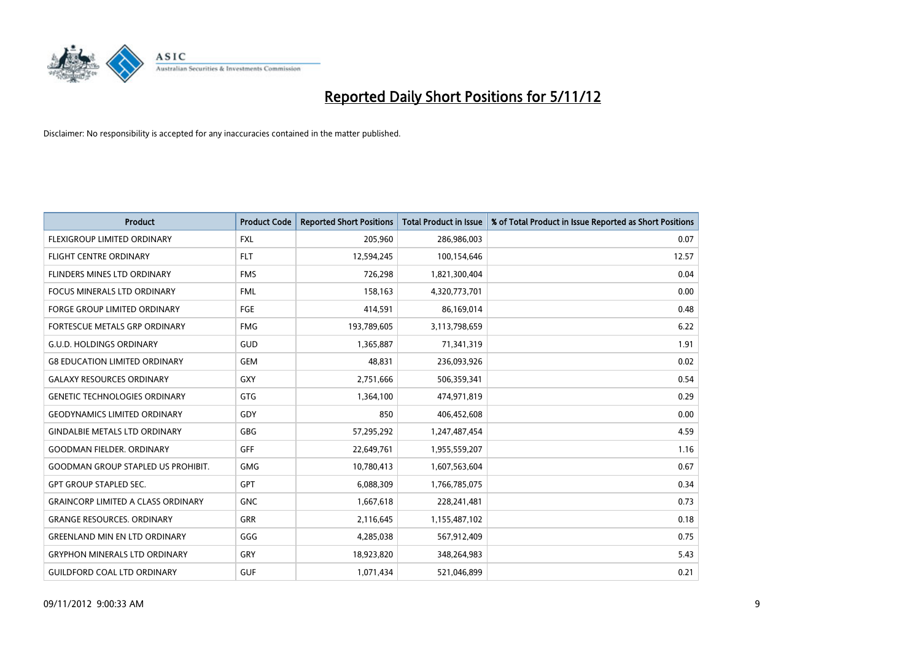

| <b>Product</b>                            | <b>Product Code</b> | <b>Reported Short Positions</b> | <b>Total Product in Issue</b> | % of Total Product in Issue Reported as Short Positions |
|-------------------------------------------|---------------------|---------------------------------|-------------------------------|---------------------------------------------------------|
| FLEXIGROUP LIMITED ORDINARY               | <b>FXL</b>          | 205,960                         | 286,986,003                   | 0.07                                                    |
| <b>FLIGHT CENTRE ORDINARY</b>             | <b>FLT</b>          | 12,594,245                      | 100,154,646                   | 12.57                                                   |
| FLINDERS MINES LTD ORDINARY               | <b>FMS</b>          | 726,298                         | 1,821,300,404                 | 0.04                                                    |
| FOCUS MINERALS LTD ORDINARY               | <b>FML</b>          | 158,163                         | 4,320,773,701                 | 0.00                                                    |
| <b>FORGE GROUP LIMITED ORDINARY</b>       | FGE                 | 414,591                         | 86,169,014                    | 0.48                                                    |
| FORTESCUE METALS GRP ORDINARY             | <b>FMG</b>          | 193,789,605                     | 3,113,798,659                 | 6.22                                                    |
| <b>G.U.D. HOLDINGS ORDINARY</b>           | <b>GUD</b>          | 1,365,887                       | 71,341,319                    | 1.91                                                    |
| <b>G8 EDUCATION LIMITED ORDINARY</b>      | <b>GEM</b>          | 48.831                          | 236,093,926                   | 0.02                                                    |
| <b>GALAXY RESOURCES ORDINARY</b>          | <b>GXY</b>          | 2,751,666                       | 506,359,341                   | 0.54                                                    |
| <b>GENETIC TECHNOLOGIES ORDINARY</b>      | GTG                 | 1,364,100                       | 474,971,819                   | 0.29                                                    |
| <b>GEODYNAMICS LIMITED ORDINARY</b>       | GDY                 | 850                             | 406,452,608                   | 0.00                                                    |
| <b>GINDALBIE METALS LTD ORDINARY</b>      | <b>GBG</b>          | 57,295,292                      | 1,247,487,454                 | 4.59                                                    |
| <b>GOODMAN FIELDER, ORDINARY</b>          | GFF                 | 22,649,761                      | 1,955,559,207                 | 1.16                                                    |
| <b>GOODMAN GROUP STAPLED US PROHIBIT.</b> | <b>GMG</b>          | 10,780,413                      | 1,607,563,604                 | 0.67                                                    |
| <b>GPT GROUP STAPLED SEC.</b>             | <b>GPT</b>          | 6,088,309                       | 1,766,785,075                 | 0.34                                                    |
| <b>GRAINCORP LIMITED A CLASS ORDINARY</b> | <b>GNC</b>          | 1,667,618                       | 228,241,481                   | 0.73                                                    |
| <b>GRANGE RESOURCES, ORDINARY</b>         | <b>GRR</b>          | 2,116,645                       | 1,155,487,102                 | 0.18                                                    |
| <b>GREENLAND MIN EN LTD ORDINARY</b>      | GGG                 | 4,285,038                       | 567,912,409                   | 0.75                                                    |
| <b>GRYPHON MINERALS LTD ORDINARY</b>      | GRY                 | 18,923,820                      | 348,264,983                   | 5.43                                                    |
| <b>GUILDFORD COAL LTD ORDINARY</b>        | <b>GUF</b>          | 1,071,434                       | 521,046,899                   | 0.21                                                    |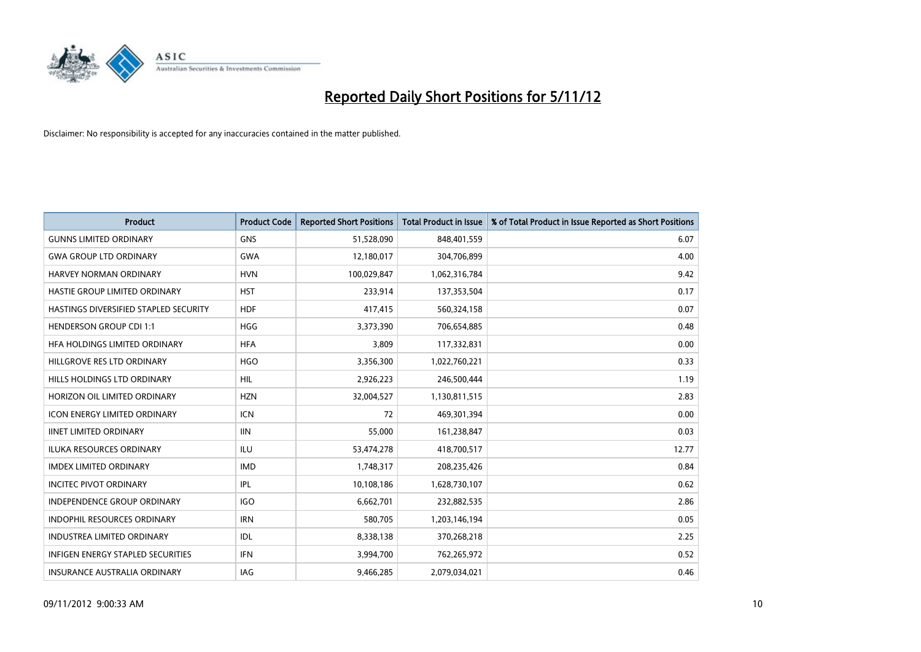

| <b>Product</b>                           | <b>Product Code</b> | <b>Reported Short Positions</b> | <b>Total Product in Issue</b> | % of Total Product in Issue Reported as Short Positions |
|------------------------------------------|---------------------|---------------------------------|-------------------------------|---------------------------------------------------------|
| <b>GUNNS LIMITED ORDINARY</b>            | <b>GNS</b>          | 51,528,090                      | 848,401,559                   | 6.07                                                    |
| <b>GWA GROUP LTD ORDINARY</b>            | <b>GWA</b>          | 12,180,017                      | 304,706,899                   | 4.00                                                    |
| <b>HARVEY NORMAN ORDINARY</b>            | <b>HVN</b>          | 100,029,847                     | 1,062,316,784                 | 9.42                                                    |
| HASTIE GROUP LIMITED ORDINARY            | <b>HST</b>          | 233,914                         | 137,353,504                   | 0.17                                                    |
| HASTINGS DIVERSIFIED STAPLED SECURITY    | <b>HDF</b>          | 417,415                         | 560,324,158                   | 0.07                                                    |
| <b>HENDERSON GROUP CDI 1:1</b>           | <b>HGG</b>          | 3,373,390                       | 706,654,885                   | 0.48                                                    |
| HFA HOLDINGS LIMITED ORDINARY            | <b>HFA</b>          | 3.809                           | 117,332,831                   | 0.00                                                    |
| HILLGROVE RES LTD ORDINARY               | <b>HGO</b>          | 3,356,300                       | 1,022,760,221                 | 0.33                                                    |
| HILLS HOLDINGS LTD ORDINARY              | <b>HIL</b>          | 2,926,223                       | 246,500,444                   | 1.19                                                    |
| HORIZON OIL LIMITED ORDINARY             | <b>HZN</b>          | 32,004,527                      | 1,130,811,515                 | 2.83                                                    |
| <b>ICON ENERGY LIMITED ORDINARY</b>      | <b>ICN</b>          | 72                              | 469,301,394                   | 0.00                                                    |
| <b>IINET LIMITED ORDINARY</b>            | <b>IIN</b>          | 55,000                          | 161,238,847                   | 0.03                                                    |
| <b>ILUKA RESOURCES ORDINARY</b>          | ILU                 | 53,474,278                      | 418,700,517                   | 12.77                                                   |
| <b>IMDEX LIMITED ORDINARY</b>            | <b>IMD</b>          | 1,748,317                       | 208,235,426                   | 0.84                                                    |
| <b>INCITEC PIVOT ORDINARY</b>            | <b>IPL</b>          | 10,108,186                      | 1,628,730,107                 | 0.62                                                    |
| <b>INDEPENDENCE GROUP ORDINARY</b>       | <b>IGO</b>          | 6,662,701                       | 232,882,535                   | 2.86                                                    |
| <b>INDOPHIL RESOURCES ORDINARY</b>       | <b>IRN</b>          | 580,705                         | 1,203,146,194                 | 0.05                                                    |
| <b>INDUSTREA LIMITED ORDINARY</b>        | IDL                 | 8,338,138                       | 370,268,218                   | 2.25                                                    |
| <b>INFIGEN ENERGY STAPLED SECURITIES</b> | <b>IFN</b>          | 3,994,700                       | 762,265,972                   | 0.52                                                    |
| <b>INSURANCE AUSTRALIA ORDINARY</b>      | IAG                 | 9,466,285                       | 2.079.034.021                 | 0.46                                                    |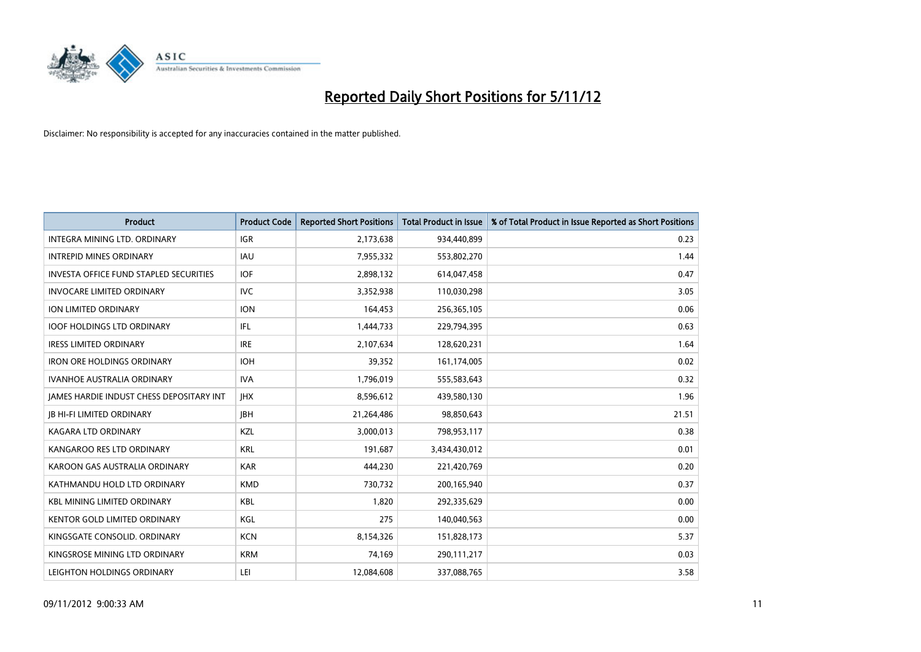

| <b>Product</b>                                  | <b>Product Code</b> | <b>Reported Short Positions</b> | <b>Total Product in Issue</b> | % of Total Product in Issue Reported as Short Positions |
|-------------------------------------------------|---------------------|---------------------------------|-------------------------------|---------------------------------------------------------|
| <b>INTEGRA MINING LTD, ORDINARY</b>             | <b>IGR</b>          | 2,173,638                       | 934,440,899                   | 0.23                                                    |
| <b>INTREPID MINES ORDINARY</b>                  | <b>IAU</b>          | 7,955,332                       | 553,802,270                   | 1.44                                                    |
| <b>INVESTA OFFICE FUND STAPLED SECURITIES</b>   | <b>IOF</b>          | 2,898,132                       | 614,047,458                   | 0.47                                                    |
| <b>INVOCARE LIMITED ORDINARY</b>                | <b>IVC</b>          | 3,352,938                       | 110,030,298                   | 3.05                                                    |
| <b>ION LIMITED ORDINARY</b>                     | <b>ION</b>          | 164,453                         | 256,365,105                   | 0.06                                                    |
| <b>IOOF HOLDINGS LTD ORDINARY</b>               | IFL.                | 1,444,733                       | 229,794,395                   | 0.63                                                    |
| <b>IRESS LIMITED ORDINARY</b>                   | <b>IRE</b>          | 2,107,634                       | 128,620,231                   | 1.64                                                    |
| <b>IRON ORE HOLDINGS ORDINARY</b>               | <b>IOH</b>          | 39,352                          | 161,174,005                   | 0.02                                                    |
| <b>IVANHOE AUSTRALIA ORDINARY</b>               | <b>IVA</b>          | 1,796,019                       | 555,583,643                   | 0.32                                                    |
| <b>JAMES HARDIE INDUST CHESS DEPOSITARY INT</b> | <b>IHX</b>          | 8,596,612                       | 439,580,130                   | 1.96                                                    |
| <b>IB HI-FI LIMITED ORDINARY</b>                | <b>IBH</b>          | 21,264,486                      | 98,850,643                    | 21.51                                                   |
| <b>KAGARA LTD ORDINARY</b>                      | KZL                 | 3,000,013                       | 798,953,117                   | 0.38                                                    |
| KANGAROO RES LTD ORDINARY                       | <b>KRL</b>          | 191,687                         | 3,434,430,012                 | 0.01                                                    |
| KAROON GAS AUSTRALIA ORDINARY                   | <b>KAR</b>          | 444,230                         | 221,420,769                   | 0.20                                                    |
| KATHMANDU HOLD LTD ORDINARY                     | <b>KMD</b>          | 730,732                         | 200,165,940                   | 0.37                                                    |
| <b>KBL MINING LIMITED ORDINARY</b>              | <b>KBL</b>          | 1,820                           | 292,335,629                   | 0.00                                                    |
| KENTOR GOLD LIMITED ORDINARY                    | KGL                 | 275                             | 140,040,563                   | 0.00                                                    |
| KINGSGATE CONSOLID. ORDINARY                    | <b>KCN</b>          | 8,154,326                       | 151,828,173                   | 5.37                                                    |
| KINGSROSE MINING LTD ORDINARY                   | <b>KRM</b>          | 74,169                          | 290,111,217                   | 0.03                                                    |
| LEIGHTON HOLDINGS ORDINARY                      | LEI                 | 12,084,608                      | 337,088,765                   | 3.58                                                    |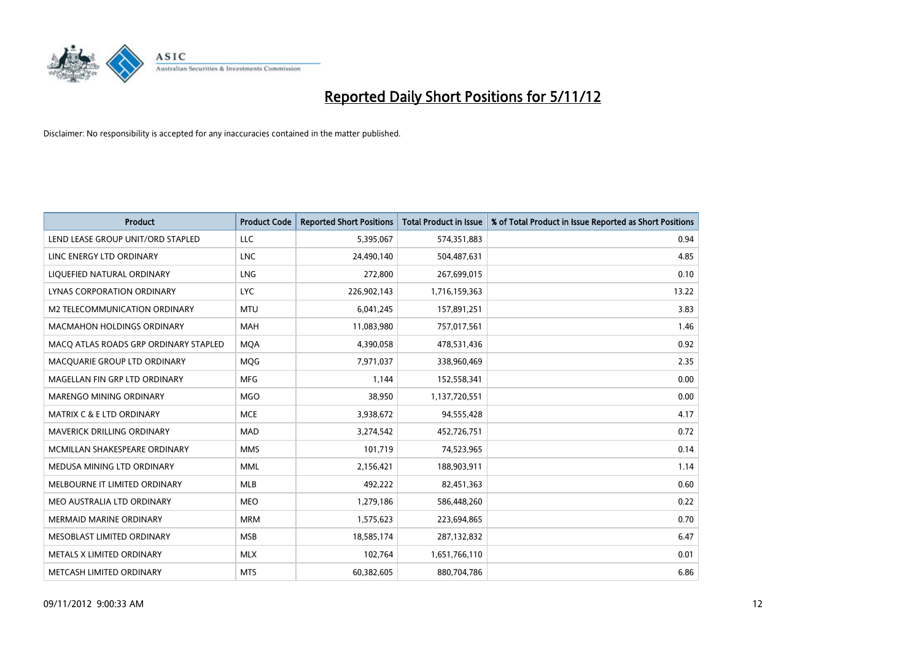

| <b>Product</b>                        | <b>Product Code</b> | <b>Reported Short Positions</b> | <b>Total Product in Issue</b> | % of Total Product in Issue Reported as Short Positions |
|---------------------------------------|---------------------|---------------------------------|-------------------------------|---------------------------------------------------------|
| LEND LEASE GROUP UNIT/ORD STAPLED     | LLC                 | 5,395,067                       | 574,351,883                   | 0.94                                                    |
| LINC ENERGY LTD ORDINARY              | <b>LNC</b>          | 24,490,140                      | 504,487,631                   | 4.85                                                    |
| LIQUEFIED NATURAL ORDINARY            | LNG                 | 272,800                         | 267,699,015                   | 0.10                                                    |
| LYNAS CORPORATION ORDINARY            | <b>LYC</b>          | 226,902,143                     | 1,716,159,363                 | 13.22                                                   |
| M2 TELECOMMUNICATION ORDINARY         | <b>MTU</b>          | 6,041,245                       | 157,891,251                   | 3.83                                                    |
| <b>MACMAHON HOLDINGS ORDINARY</b>     | <b>MAH</b>          | 11,083,980                      | 757,017,561                   | 1.46                                                    |
| MACO ATLAS ROADS GRP ORDINARY STAPLED | <b>MOA</b>          | 4,390,058                       | 478,531,436                   | 0.92                                                    |
| MACQUARIE GROUP LTD ORDINARY          | MQG                 | 7,971,037                       | 338,960,469                   | 2.35                                                    |
| MAGELLAN FIN GRP LTD ORDINARY         | <b>MFG</b>          | 1,144                           | 152,558,341                   | 0.00                                                    |
| MARENGO MINING ORDINARY               | <b>MGO</b>          | 38,950                          | 1,137,720,551                 | 0.00                                                    |
| MATRIX C & E LTD ORDINARY             | <b>MCE</b>          | 3,938,672                       | 94,555,428                    | 4.17                                                    |
| MAVERICK DRILLING ORDINARY            | <b>MAD</b>          | 3,274,542                       | 452,726,751                   | 0.72                                                    |
| MCMILLAN SHAKESPEARE ORDINARY         | <b>MMS</b>          | 101,719                         | 74,523,965                    | 0.14                                                    |
| MEDUSA MINING LTD ORDINARY            | <b>MML</b>          | 2,156,421                       | 188,903,911                   | 1.14                                                    |
| MELBOURNE IT LIMITED ORDINARY         | <b>MLB</b>          | 492,222                         | 82,451,363                    | 0.60                                                    |
| MEO AUSTRALIA LTD ORDINARY            | <b>MEO</b>          | 1,279,186                       | 586,448,260                   | 0.22                                                    |
| <b>MERMAID MARINE ORDINARY</b>        | <b>MRM</b>          | 1,575,623                       | 223,694,865                   | 0.70                                                    |
| MESOBLAST LIMITED ORDINARY            | <b>MSB</b>          | 18,585,174                      | 287,132,832                   | 6.47                                                    |
| METALS X LIMITED ORDINARY             | <b>MLX</b>          | 102,764                         | 1,651,766,110                 | 0.01                                                    |
| METCASH LIMITED ORDINARY              | <b>MTS</b>          | 60,382,605                      | 880,704,786                   | 6.86                                                    |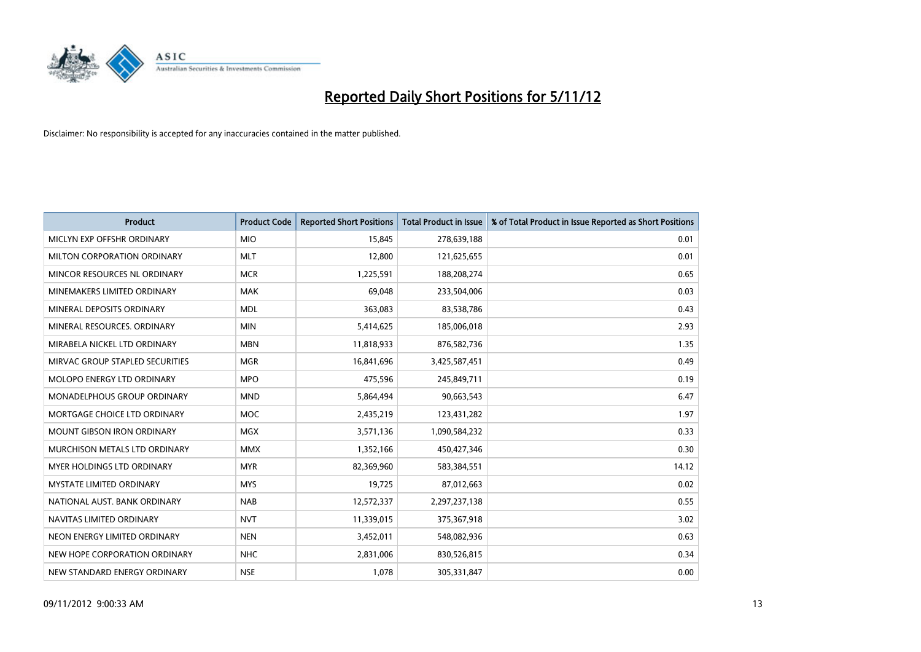

| <b>Product</b>                     | <b>Product Code</b> | <b>Reported Short Positions</b> | <b>Total Product in Issue</b> | % of Total Product in Issue Reported as Short Positions |
|------------------------------------|---------------------|---------------------------------|-------------------------------|---------------------------------------------------------|
| MICLYN EXP OFFSHR ORDINARY         | <b>MIO</b>          | 15,845                          | 278,639,188                   | 0.01                                                    |
| MILTON CORPORATION ORDINARY        | <b>MLT</b>          | 12,800                          | 121,625,655                   | 0.01                                                    |
| MINCOR RESOURCES NL ORDINARY       | <b>MCR</b>          | 1,225,591                       | 188,208,274                   | 0.65                                                    |
| MINEMAKERS LIMITED ORDINARY        | <b>MAK</b>          | 69,048                          | 233,504,006                   | 0.03                                                    |
| MINERAL DEPOSITS ORDINARY          | <b>MDL</b>          | 363,083                         | 83,538,786                    | 0.43                                                    |
| MINERAL RESOURCES, ORDINARY        | <b>MIN</b>          | 5,414,625                       | 185,006,018                   | 2.93                                                    |
| MIRABELA NICKEL LTD ORDINARY       | <b>MBN</b>          | 11,818,933                      | 876,582,736                   | 1.35                                                    |
| MIRVAC GROUP STAPLED SECURITIES    | <b>MGR</b>          | 16,841,696                      | 3,425,587,451                 | 0.49                                                    |
| <b>MOLOPO ENERGY LTD ORDINARY</b>  | <b>MPO</b>          | 475,596                         | 245,849,711                   | 0.19                                                    |
| <b>MONADELPHOUS GROUP ORDINARY</b> | <b>MND</b>          | 5,864,494                       | 90,663,543                    | 6.47                                                    |
| MORTGAGE CHOICE LTD ORDINARY       | <b>MOC</b>          | 2,435,219                       | 123,431,282                   | 1.97                                                    |
| <b>MOUNT GIBSON IRON ORDINARY</b>  | <b>MGX</b>          | 3,571,136                       | 1,090,584,232                 | 0.33                                                    |
| MURCHISON METALS LTD ORDINARY      | <b>MMX</b>          | 1,352,166                       | 450,427,346                   | 0.30                                                    |
| <b>MYER HOLDINGS LTD ORDINARY</b>  | <b>MYR</b>          | 82,369,960                      | 583,384,551                   | 14.12                                                   |
| <b>MYSTATE LIMITED ORDINARY</b>    | <b>MYS</b>          | 19,725                          | 87,012,663                    | 0.02                                                    |
| NATIONAL AUST. BANK ORDINARY       | <b>NAB</b>          | 12,572,337                      | 2,297,237,138                 | 0.55                                                    |
| NAVITAS LIMITED ORDINARY           | <b>NVT</b>          | 11,339,015                      | 375,367,918                   | 3.02                                                    |
| NEON ENERGY LIMITED ORDINARY       | <b>NEN</b>          | 3,452,011                       | 548,082,936                   | 0.63                                                    |
| NEW HOPE CORPORATION ORDINARY      | NHC                 | 2,831,006                       | 830,526,815                   | 0.34                                                    |
| NEW STANDARD ENERGY ORDINARY       | <b>NSE</b>          | 1,078                           | 305,331,847                   | 0.00                                                    |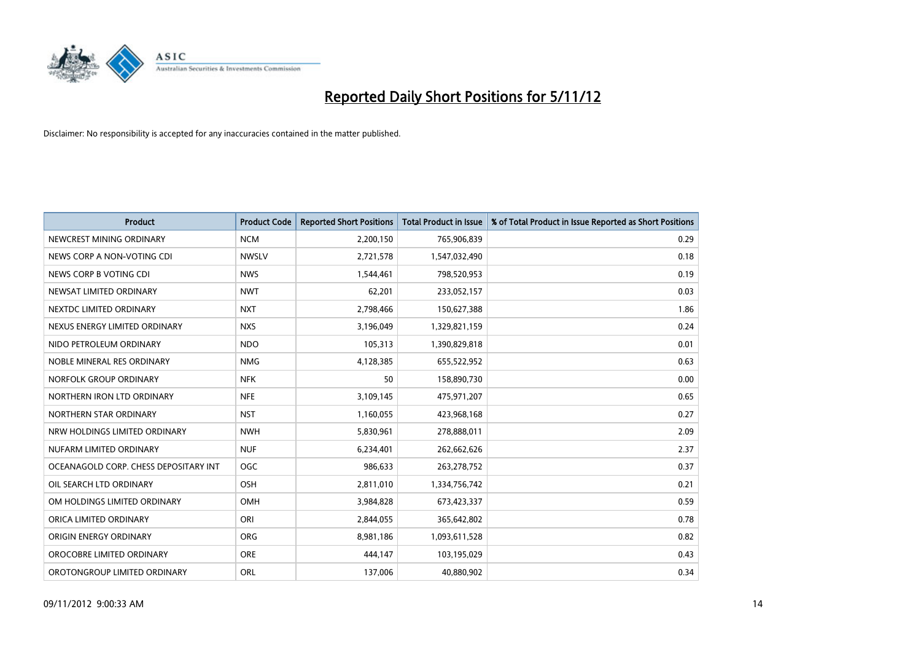

| <b>Product</b>                        | <b>Product Code</b> | <b>Reported Short Positions</b> | <b>Total Product in Issue</b> | % of Total Product in Issue Reported as Short Positions |
|---------------------------------------|---------------------|---------------------------------|-------------------------------|---------------------------------------------------------|
| NEWCREST MINING ORDINARY              | <b>NCM</b>          | 2,200,150                       | 765,906,839                   | 0.29                                                    |
| NEWS CORP A NON-VOTING CDI            | <b>NWSLV</b>        | 2,721,578                       | 1,547,032,490                 | 0.18                                                    |
| NEWS CORP B VOTING CDI                | <b>NWS</b>          | 1,544,461                       | 798,520,953                   | 0.19                                                    |
| NEWSAT LIMITED ORDINARY               | <b>NWT</b>          | 62,201                          | 233,052,157                   | 0.03                                                    |
| NEXTDC LIMITED ORDINARY               | <b>NXT</b>          | 2,798,466                       | 150,627,388                   | 1.86                                                    |
| NEXUS ENERGY LIMITED ORDINARY         | <b>NXS</b>          | 3,196,049                       | 1,329,821,159                 | 0.24                                                    |
| NIDO PETROLEUM ORDINARY               | <b>NDO</b>          | 105,313                         | 1,390,829,818                 | 0.01                                                    |
| NOBLE MINERAL RES ORDINARY            | <b>NMG</b>          | 4,128,385                       | 655,522,952                   | 0.63                                                    |
| NORFOLK GROUP ORDINARY                | <b>NFK</b>          | 50                              | 158,890,730                   | 0.00                                                    |
| NORTHERN IRON LTD ORDINARY            | <b>NFE</b>          | 3,109,145                       | 475,971,207                   | 0.65                                                    |
| NORTHERN STAR ORDINARY                | <b>NST</b>          | 1,160,055                       | 423,968,168                   | 0.27                                                    |
| NRW HOLDINGS LIMITED ORDINARY         | <b>NWH</b>          | 5,830,961                       | 278,888,011                   | 2.09                                                    |
| NUFARM LIMITED ORDINARY               | <b>NUF</b>          | 6,234,401                       | 262,662,626                   | 2.37                                                    |
| OCEANAGOLD CORP. CHESS DEPOSITARY INT | <b>OGC</b>          | 986,633                         | 263,278,752                   | 0.37                                                    |
| OIL SEARCH LTD ORDINARY               | OSH                 | 2,811,010                       | 1,334,756,742                 | 0.21                                                    |
| OM HOLDINGS LIMITED ORDINARY          | OMH                 | 3,984,828                       | 673,423,337                   | 0.59                                                    |
| ORICA LIMITED ORDINARY                | ORI                 | 2,844,055                       | 365,642,802                   | 0.78                                                    |
| ORIGIN ENERGY ORDINARY                | <b>ORG</b>          | 8,981,186                       | 1,093,611,528                 | 0.82                                                    |
| OROCOBRE LIMITED ORDINARY             | <b>ORE</b>          | 444,147                         | 103,195,029                   | 0.43                                                    |
| OROTONGROUP LIMITED ORDINARY          | ORL                 | 137,006                         | 40,880,902                    | 0.34                                                    |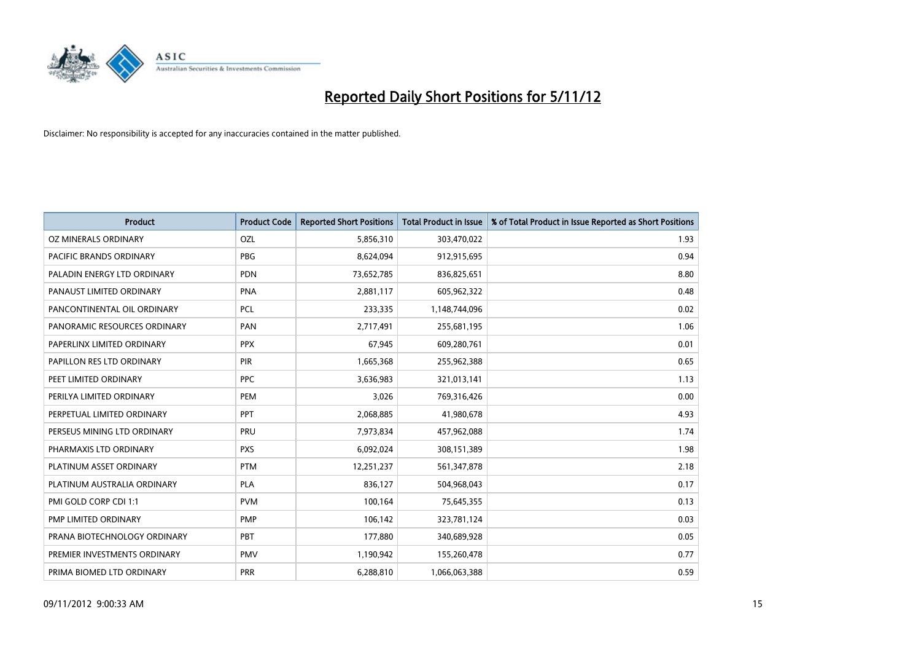

| <b>Product</b>               | <b>Product Code</b> | <b>Reported Short Positions</b> | <b>Total Product in Issue</b> | % of Total Product in Issue Reported as Short Positions |
|------------------------------|---------------------|---------------------------------|-------------------------------|---------------------------------------------------------|
| OZ MINERALS ORDINARY         | OZL                 | 5,856,310                       | 303,470,022                   | 1.93                                                    |
| PACIFIC BRANDS ORDINARY      | <b>PBG</b>          | 8,624,094                       | 912,915,695                   | 0.94                                                    |
| PALADIN ENERGY LTD ORDINARY  | <b>PDN</b>          | 73,652,785                      | 836,825,651                   | 8.80                                                    |
| PANAUST LIMITED ORDINARY     | <b>PNA</b>          | 2,881,117                       | 605,962,322                   | 0.48                                                    |
| PANCONTINENTAL OIL ORDINARY  | PCL                 | 233,335                         | 1,148,744,096                 | 0.02                                                    |
| PANORAMIC RESOURCES ORDINARY | PAN                 | 2,717,491                       | 255,681,195                   | 1.06                                                    |
| PAPERLINX LIMITED ORDINARY   | <b>PPX</b>          | 67.945                          | 609,280,761                   | 0.01                                                    |
| PAPILLON RES LTD ORDINARY    | PIR                 | 1,665,368                       | 255,962,388                   | 0.65                                                    |
| PEET LIMITED ORDINARY        | <b>PPC</b>          | 3,636,983                       | 321,013,141                   | 1.13                                                    |
| PERILYA LIMITED ORDINARY     | PEM                 | 3,026                           | 769,316,426                   | 0.00                                                    |
| PERPETUAL LIMITED ORDINARY   | PPT                 | 2,068,885                       | 41,980,678                    | 4.93                                                    |
| PERSEUS MINING LTD ORDINARY  | PRU                 | 7,973,834                       | 457,962,088                   | 1.74                                                    |
| PHARMAXIS LTD ORDINARY       | <b>PXS</b>          | 6,092,024                       | 308,151,389                   | 1.98                                                    |
| PLATINUM ASSET ORDINARY      | <b>PTM</b>          | 12,251,237                      | 561,347,878                   | 2.18                                                    |
| PLATINUM AUSTRALIA ORDINARY  | <b>PLA</b>          | 836,127                         | 504,968,043                   | 0.17                                                    |
| PMI GOLD CORP CDI 1:1        | <b>PVM</b>          | 100,164                         | 75,645,355                    | 0.13                                                    |
| PMP LIMITED ORDINARY         | <b>PMP</b>          | 106,142                         | 323,781,124                   | 0.03                                                    |
| PRANA BIOTECHNOLOGY ORDINARY | PBT                 | 177,880                         | 340,689,928                   | 0.05                                                    |
| PREMIER INVESTMENTS ORDINARY | <b>PMV</b>          | 1,190,942                       | 155,260,478                   | 0.77                                                    |
| PRIMA BIOMED LTD ORDINARY    | PRR                 | 6,288,810                       | 1,066,063,388                 | 0.59                                                    |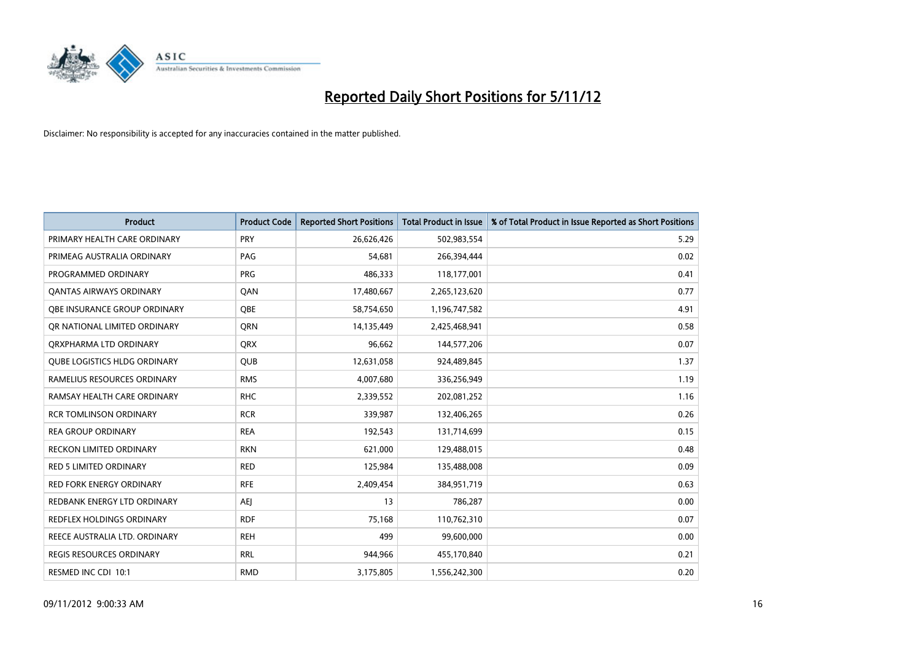

| <b>Product</b>                      | <b>Product Code</b> | <b>Reported Short Positions</b> | <b>Total Product in Issue</b> | % of Total Product in Issue Reported as Short Positions |
|-------------------------------------|---------------------|---------------------------------|-------------------------------|---------------------------------------------------------|
| PRIMARY HEALTH CARE ORDINARY        | <b>PRY</b>          | 26,626,426                      | 502,983,554                   | 5.29                                                    |
| PRIMEAG AUSTRALIA ORDINARY          | PAG                 | 54,681                          | 266,394,444                   | 0.02                                                    |
| PROGRAMMED ORDINARY                 | <b>PRG</b>          | 486,333                         | 118,177,001                   | 0.41                                                    |
| <b>QANTAS AIRWAYS ORDINARY</b>      | QAN                 | 17,480,667                      | 2,265,123,620                 | 0.77                                                    |
| <b>OBE INSURANCE GROUP ORDINARY</b> | <b>OBE</b>          | 58,754,650                      | 1,196,747,582                 | 4.91                                                    |
| OR NATIONAL LIMITED ORDINARY        | <b>ORN</b>          | 14,135,449                      | 2,425,468,941                 | 0.58                                                    |
| ORXPHARMA LTD ORDINARY              | <b>QRX</b>          | 96,662                          | 144,577,206                   | 0.07                                                    |
| <b>QUBE LOGISTICS HLDG ORDINARY</b> | <b>QUB</b>          | 12,631,058                      | 924,489,845                   | 1.37                                                    |
| RAMELIUS RESOURCES ORDINARY         | <b>RMS</b>          | 4,007,680                       | 336,256,949                   | 1.19                                                    |
| RAMSAY HEALTH CARE ORDINARY         | <b>RHC</b>          | 2,339,552                       | 202,081,252                   | 1.16                                                    |
| <b>RCR TOMLINSON ORDINARY</b>       | <b>RCR</b>          | 339,987                         | 132,406,265                   | 0.26                                                    |
| <b>REA GROUP ORDINARY</b>           | <b>REA</b>          | 192,543                         | 131,714,699                   | 0.15                                                    |
| RECKON LIMITED ORDINARY             | <b>RKN</b>          | 621,000                         | 129,488,015                   | 0.48                                                    |
| <b>RED 5 LIMITED ORDINARY</b>       | <b>RED</b>          | 125,984                         | 135,488,008                   | 0.09                                                    |
| <b>RED FORK ENERGY ORDINARY</b>     | <b>RFE</b>          | 2,409,454                       | 384,951,719                   | 0.63                                                    |
| REDBANK ENERGY LTD ORDINARY         | <b>AEI</b>          | 13                              | 786,287                       | 0.00                                                    |
| REDFLEX HOLDINGS ORDINARY           | <b>RDF</b>          | 75,168                          | 110,762,310                   | 0.07                                                    |
| REECE AUSTRALIA LTD. ORDINARY       | <b>REH</b>          | 499                             | 99,600,000                    | 0.00                                                    |
| REGIS RESOURCES ORDINARY            | <b>RRL</b>          | 944,966                         | 455,170,840                   | 0.21                                                    |
| RESMED INC CDI 10:1                 | <b>RMD</b>          | 3,175,805                       | 1,556,242,300                 | 0.20                                                    |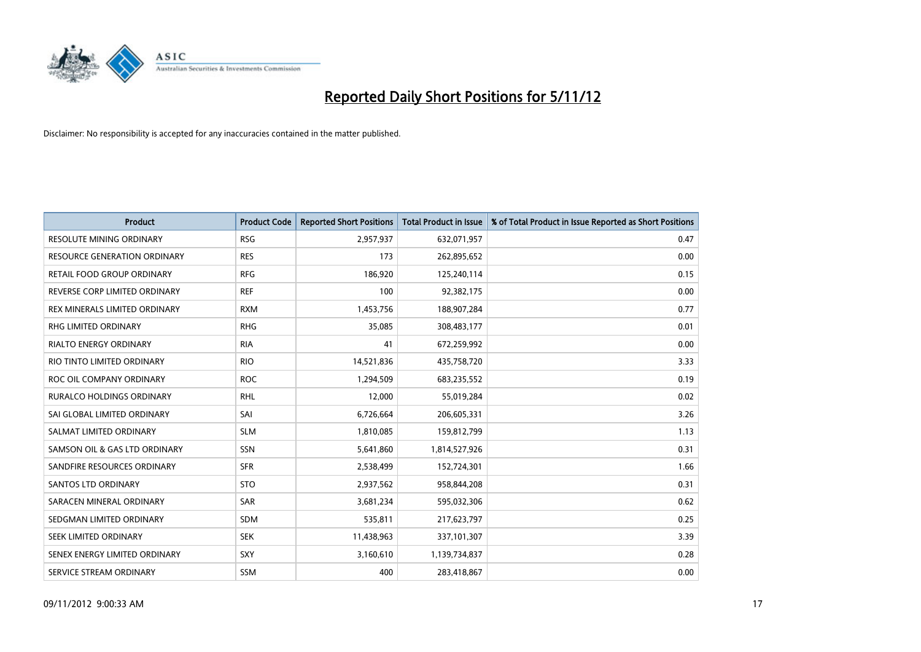

| <b>Product</b>                   | <b>Product Code</b> | <b>Reported Short Positions</b> | <b>Total Product in Issue</b> | % of Total Product in Issue Reported as Short Positions |
|----------------------------------|---------------------|---------------------------------|-------------------------------|---------------------------------------------------------|
| <b>RESOLUTE MINING ORDINARY</b>  | <b>RSG</b>          | 2,957,937                       | 632,071,957                   | 0.47                                                    |
| RESOURCE GENERATION ORDINARY     | <b>RES</b>          | 173                             | 262,895,652                   | 0.00                                                    |
| RETAIL FOOD GROUP ORDINARY       | <b>RFG</b>          | 186,920                         | 125,240,114                   | 0.15                                                    |
| REVERSE CORP LIMITED ORDINARY    | <b>REF</b>          | 100                             | 92,382,175                    | 0.00                                                    |
| REX MINERALS LIMITED ORDINARY    | <b>RXM</b>          | 1,453,756                       | 188,907,284                   | 0.77                                                    |
| <b>RHG LIMITED ORDINARY</b>      | <b>RHG</b>          | 35,085                          | 308,483,177                   | 0.01                                                    |
| <b>RIALTO ENERGY ORDINARY</b>    | <b>RIA</b>          | 41                              | 672,259,992                   | 0.00                                                    |
| RIO TINTO LIMITED ORDINARY       | <b>RIO</b>          | 14,521,836                      | 435,758,720                   | 3.33                                                    |
| ROC OIL COMPANY ORDINARY         | <b>ROC</b>          | 1,294,509                       | 683,235,552                   | 0.19                                                    |
| <b>RURALCO HOLDINGS ORDINARY</b> | <b>RHL</b>          | 12,000                          | 55,019,284                    | 0.02                                                    |
| SAI GLOBAL LIMITED ORDINARY      | SAI                 | 6,726,664                       | 206,605,331                   | 3.26                                                    |
| SALMAT LIMITED ORDINARY          | <b>SLM</b>          | 1,810,085                       | 159,812,799                   | 1.13                                                    |
| SAMSON OIL & GAS LTD ORDINARY    | SSN                 | 5,641,860                       | 1,814,527,926                 | 0.31                                                    |
| SANDFIRE RESOURCES ORDINARY      | <b>SFR</b>          | 2,538,499                       | 152,724,301                   | 1.66                                                    |
| SANTOS LTD ORDINARY              | <b>STO</b>          | 2,937,562                       | 958,844,208                   | 0.31                                                    |
| SARACEN MINERAL ORDINARY         | SAR                 | 3,681,234                       | 595,032,306                   | 0.62                                                    |
| SEDGMAN LIMITED ORDINARY         | <b>SDM</b>          | 535,811                         | 217,623,797                   | 0.25                                                    |
| SEEK LIMITED ORDINARY            | <b>SEK</b>          | 11,438,963                      | 337,101,307                   | 3.39                                                    |
| SENEX ENERGY LIMITED ORDINARY    | <b>SXY</b>          | 3,160,610                       | 1,139,734,837                 | 0.28                                                    |
| SERVICE STREAM ORDINARY          | <b>SSM</b>          | 400                             | 283,418,867                   | 0.00                                                    |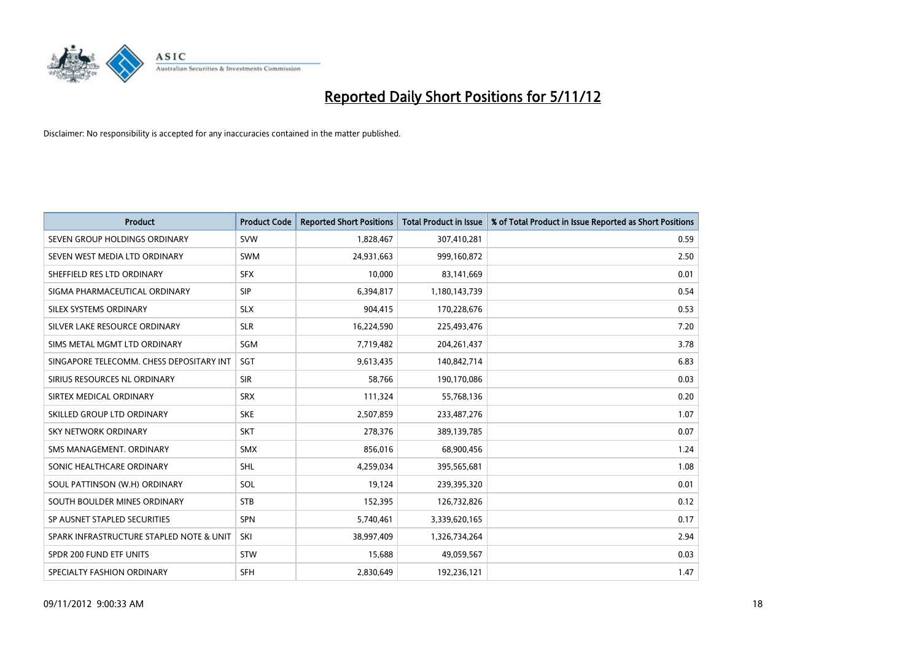

| <b>Product</b>                           | <b>Product Code</b> | <b>Reported Short Positions</b> | <b>Total Product in Issue</b> | % of Total Product in Issue Reported as Short Positions |
|------------------------------------------|---------------------|---------------------------------|-------------------------------|---------------------------------------------------------|
| SEVEN GROUP HOLDINGS ORDINARY            | <b>SVW</b>          | 1,828,467                       | 307,410,281                   | 0.59                                                    |
| SEVEN WEST MEDIA LTD ORDINARY            | <b>SWM</b>          | 24,931,663                      | 999,160,872                   | 2.50                                                    |
| SHEFFIELD RES LTD ORDINARY               | <b>SFX</b>          | 10,000                          | 83,141,669                    | 0.01                                                    |
| SIGMA PHARMACEUTICAL ORDINARY            | <b>SIP</b>          | 6,394,817                       | 1,180,143,739                 | 0.54                                                    |
| SILEX SYSTEMS ORDINARY                   | <b>SLX</b>          | 904,415                         | 170,228,676                   | 0.53                                                    |
| SILVER LAKE RESOURCE ORDINARY            | <b>SLR</b>          | 16,224,590                      | 225,493,476                   | 7.20                                                    |
| SIMS METAL MGMT LTD ORDINARY             | SGM                 | 7,719,482                       | 204, 261, 437                 | 3.78                                                    |
| SINGAPORE TELECOMM. CHESS DEPOSITARY INT | <b>SGT</b>          | 9,613,435                       | 140,842,714                   | 6.83                                                    |
| SIRIUS RESOURCES NL ORDINARY             | <b>SIR</b>          | 58,766                          | 190,170,086                   | 0.03                                                    |
| SIRTEX MEDICAL ORDINARY                  | <b>SRX</b>          | 111,324                         | 55,768,136                    | 0.20                                                    |
| SKILLED GROUP LTD ORDINARY               | <b>SKE</b>          | 2,507,859                       | 233,487,276                   | 1.07                                                    |
| <b>SKY NETWORK ORDINARY</b>              | <b>SKT</b>          | 278,376                         | 389,139,785                   | 0.07                                                    |
| SMS MANAGEMENT, ORDINARY                 | <b>SMX</b>          | 856,016                         | 68,900,456                    | 1.24                                                    |
| SONIC HEALTHCARE ORDINARY                | <b>SHL</b>          | 4,259,034                       | 395,565,681                   | 1.08                                                    |
| SOUL PATTINSON (W.H) ORDINARY            | SOL                 | 19,124                          | 239,395,320                   | 0.01                                                    |
| SOUTH BOULDER MINES ORDINARY             | <b>STB</b>          | 152,395                         | 126,732,826                   | 0.12                                                    |
| SP AUSNET STAPLED SECURITIES             | <b>SPN</b>          | 5,740,461                       | 3,339,620,165                 | 0.17                                                    |
| SPARK INFRASTRUCTURE STAPLED NOTE & UNIT | SKI                 | 38,997,409                      | 1,326,734,264                 | 2.94                                                    |
| SPDR 200 FUND ETF UNITS                  | <b>STW</b>          | 15,688                          | 49,059,567                    | 0.03                                                    |
| SPECIALTY FASHION ORDINARY               | <b>SFH</b>          | 2,830,649                       | 192.236.121                   | 1.47                                                    |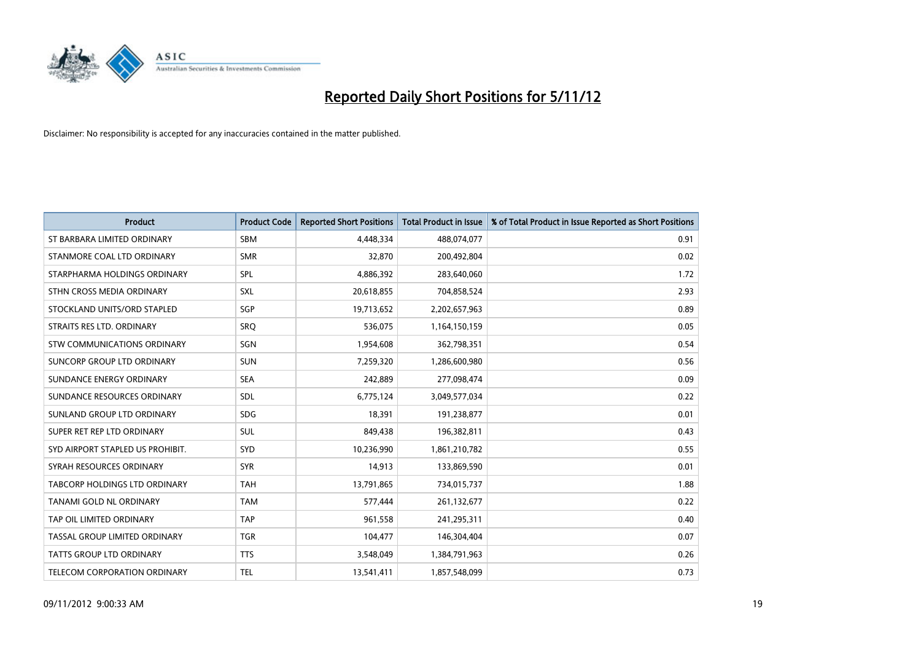

| <b>Product</b>                   | <b>Product Code</b> | <b>Reported Short Positions</b> | <b>Total Product in Issue</b> | % of Total Product in Issue Reported as Short Positions |
|----------------------------------|---------------------|---------------------------------|-------------------------------|---------------------------------------------------------|
| ST BARBARA LIMITED ORDINARY      | <b>SBM</b>          | 4,448,334                       | 488,074,077                   | 0.91                                                    |
| STANMORE COAL LTD ORDINARY       | <b>SMR</b>          | 32,870                          | 200,492,804                   | 0.02                                                    |
| STARPHARMA HOLDINGS ORDINARY     | SPL                 | 4,886,392                       | 283,640,060                   | 1.72                                                    |
| STHN CROSS MEDIA ORDINARY        | <b>SXL</b>          | 20,618,855                      | 704,858,524                   | 2.93                                                    |
| STOCKLAND UNITS/ORD STAPLED      | <b>SGP</b>          | 19,713,652                      | 2,202,657,963                 | 0.89                                                    |
| STRAITS RES LTD. ORDINARY        | SRO                 | 536,075                         | 1,164,150,159                 | 0.05                                                    |
| STW COMMUNICATIONS ORDINARY      | SGN                 | 1,954,608                       | 362,798,351                   | 0.54                                                    |
| SUNCORP GROUP LTD ORDINARY       | <b>SUN</b>          | 7,259,320                       | 1,286,600,980                 | 0.56                                                    |
| SUNDANCE ENERGY ORDINARY         | <b>SEA</b>          | 242,889                         | 277,098,474                   | 0.09                                                    |
| SUNDANCE RESOURCES ORDINARY      | <b>SDL</b>          | 6,775,124                       | 3,049,577,034                 | 0.22                                                    |
| SUNLAND GROUP LTD ORDINARY       | <b>SDG</b>          | 18,391                          | 191,238,877                   | 0.01                                                    |
| SUPER RET REP LTD ORDINARY       | <b>SUL</b>          | 849,438                         | 196,382,811                   | 0.43                                                    |
| SYD AIRPORT STAPLED US PROHIBIT. | <b>SYD</b>          | 10,236,990                      | 1,861,210,782                 | 0.55                                                    |
| SYRAH RESOURCES ORDINARY         | <b>SYR</b>          | 14,913                          | 133,869,590                   | 0.01                                                    |
| TABCORP HOLDINGS LTD ORDINARY    | <b>TAH</b>          | 13,791,865                      | 734,015,737                   | 1.88                                                    |
| <b>TANAMI GOLD NL ORDINARY</b>   | <b>TAM</b>          | 577,444                         | 261,132,677                   | 0.22                                                    |
| TAP OIL LIMITED ORDINARY         | <b>TAP</b>          | 961,558                         | 241,295,311                   | 0.40                                                    |
| TASSAL GROUP LIMITED ORDINARY    | <b>TGR</b>          | 104,477                         | 146,304,404                   | 0.07                                                    |
| <b>TATTS GROUP LTD ORDINARY</b>  | <b>TTS</b>          | 3,548,049                       | 1,384,791,963                 | 0.26                                                    |
| TELECOM CORPORATION ORDINARY     | <b>TEL</b>          | 13,541,411                      | 1,857,548,099                 | 0.73                                                    |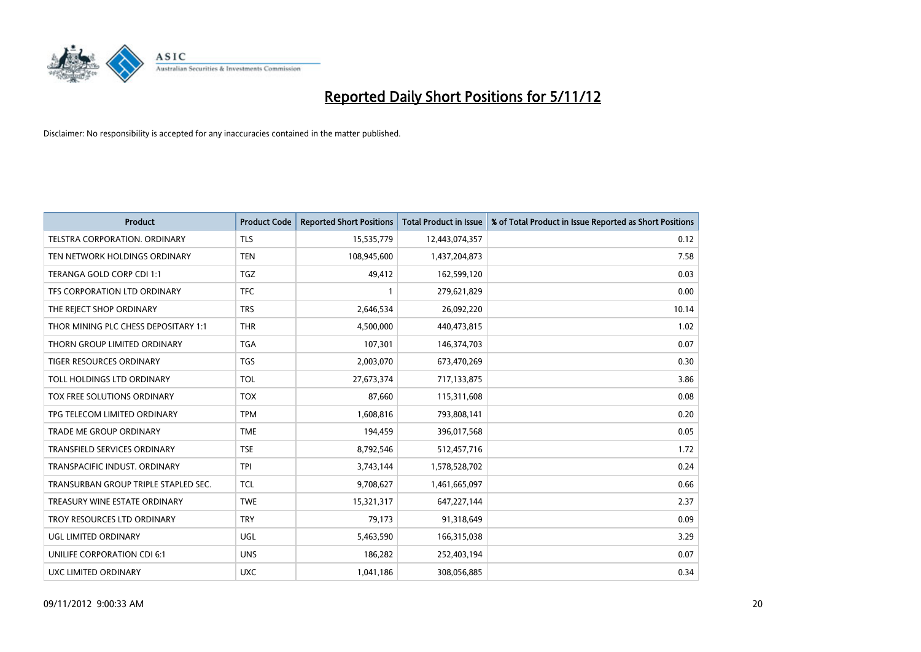

| <b>Product</b>                       | <b>Product Code</b> | <b>Reported Short Positions</b> | <b>Total Product in Issue</b> | % of Total Product in Issue Reported as Short Positions |
|--------------------------------------|---------------------|---------------------------------|-------------------------------|---------------------------------------------------------|
| <b>TELSTRA CORPORATION, ORDINARY</b> | <b>TLS</b>          | 15,535,779                      | 12,443,074,357                | 0.12                                                    |
| TEN NETWORK HOLDINGS ORDINARY        | <b>TEN</b>          | 108,945,600                     | 1,437,204,873                 | 7.58                                                    |
| TERANGA GOLD CORP CDI 1:1            | <b>TGZ</b>          | 49,412                          | 162,599,120                   | 0.03                                                    |
| TFS CORPORATION LTD ORDINARY         | <b>TFC</b>          |                                 | 279,621,829                   | 0.00                                                    |
| THE REJECT SHOP ORDINARY             | <b>TRS</b>          | 2,646,534                       | 26,092,220                    | 10.14                                                   |
| THOR MINING PLC CHESS DEPOSITARY 1:1 | <b>THR</b>          | 4,500,000                       | 440,473,815                   | 1.02                                                    |
| THORN GROUP LIMITED ORDINARY         | <b>TGA</b>          | 107,301                         | 146,374,703                   | 0.07                                                    |
| TIGER RESOURCES ORDINARY             | <b>TGS</b>          | 2,003,070                       | 673,470,269                   | 0.30                                                    |
| TOLL HOLDINGS LTD ORDINARY           | TOL                 | 27,673,374                      | 717,133,875                   | 3.86                                                    |
| <b>TOX FREE SOLUTIONS ORDINARY</b>   | <b>TOX</b>          | 87,660                          | 115,311,608                   | 0.08                                                    |
| TPG TELECOM LIMITED ORDINARY         | <b>TPM</b>          | 1,608,816                       | 793,808,141                   | 0.20                                                    |
| TRADE ME GROUP ORDINARY              | <b>TME</b>          | 194,459                         | 396,017,568                   | 0.05                                                    |
| TRANSFIELD SERVICES ORDINARY         | <b>TSE</b>          | 8,792,546                       | 512,457,716                   | 1.72                                                    |
| TRANSPACIFIC INDUST, ORDINARY        | <b>TPI</b>          | 3,743,144                       | 1,578,528,702                 | 0.24                                                    |
| TRANSURBAN GROUP TRIPLE STAPLED SEC. | <b>TCL</b>          | 9,708,627                       | 1,461,665,097                 | 0.66                                                    |
| TREASURY WINE ESTATE ORDINARY        | <b>TWE</b>          | 15,321,317                      | 647,227,144                   | 2.37                                                    |
| TROY RESOURCES LTD ORDINARY          | <b>TRY</b>          | 79,173                          | 91,318,649                    | 0.09                                                    |
| UGL LIMITED ORDINARY                 | UGL                 | 5,463,590                       | 166,315,038                   | 3.29                                                    |
| UNILIFE CORPORATION CDI 6:1          | <b>UNS</b>          | 186,282                         | 252,403,194                   | 0.07                                                    |
| UXC LIMITED ORDINARY                 | <b>UXC</b>          | 1,041,186                       | 308,056,885                   | 0.34                                                    |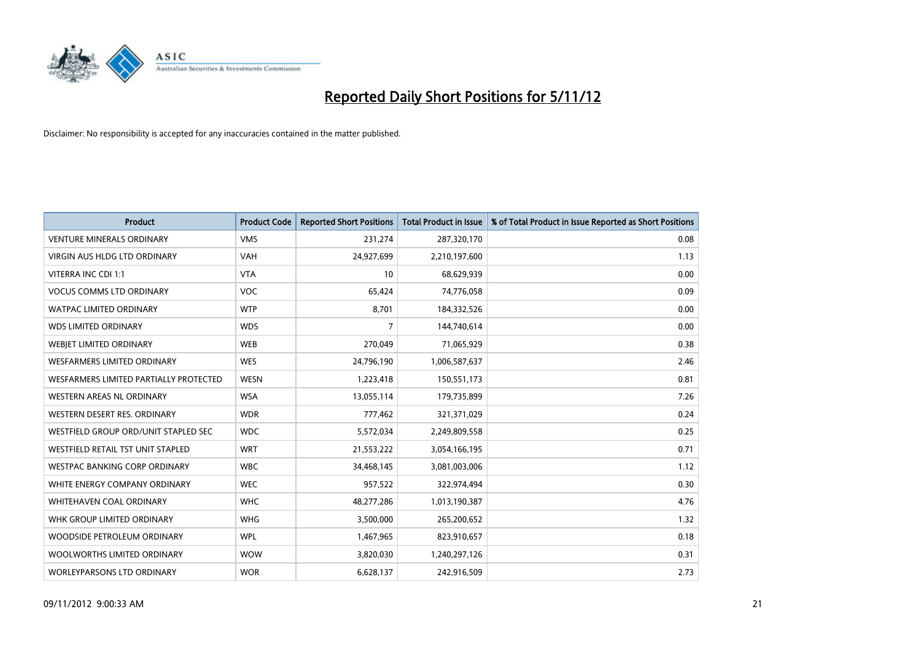

| <b>Product</b>                           | <b>Product Code</b> | <b>Reported Short Positions</b> | <b>Total Product in Issue</b> | % of Total Product in Issue Reported as Short Positions |
|------------------------------------------|---------------------|---------------------------------|-------------------------------|---------------------------------------------------------|
| <b>VENTURE MINERALS ORDINARY</b>         | <b>VMS</b>          | 231,274                         | 287,320,170                   | 0.08                                                    |
| <b>VIRGIN AUS HLDG LTD ORDINARY</b>      | <b>VAH</b>          | 24,927,699                      | 2,210,197,600                 | 1.13                                                    |
| VITERRA INC CDI 1:1                      | <b>VTA</b>          | 10                              | 68,629,939                    | 0.00                                                    |
| <b>VOCUS COMMS LTD ORDINARY</b>          | <b>VOC</b>          | 65,424                          | 74,776,058                    | 0.09                                                    |
| <b>WATPAC LIMITED ORDINARY</b>           | <b>WTP</b>          | 8,701                           | 184,332,526                   | 0.00                                                    |
| <b>WDS LIMITED ORDINARY</b>              | <b>WDS</b>          | 7                               | 144,740,614                   | 0.00                                                    |
| WEBJET LIMITED ORDINARY                  | <b>WEB</b>          | 270,049                         | 71,065,929                    | 0.38                                                    |
| <b>WESFARMERS LIMITED ORDINARY</b>       | <b>WES</b>          | 24,796,190                      | 1,006,587,637                 | 2.46                                                    |
| WESFARMERS LIMITED PARTIALLY PROTECTED   | <b>WESN</b>         | 1,223,418                       | 150,551,173                   | 0.81                                                    |
| <b>WESTERN AREAS NL ORDINARY</b>         | <b>WSA</b>          | 13,055,114                      | 179,735,899                   | 7.26                                                    |
| WESTERN DESERT RES. ORDINARY             | <b>WDR</b>          | 777,462                         | 321,371,029                   | 0.24                                                    |
| WESTFIELD GROUP ORD/UNIT STAPLED SEC     | <b>WDC</b>          | 5,572,034                       | 2,249,809,558                 | 0.25                                                    |
| <b>WESTFIELD RETAIL TST UNIT STAPLED</b> | <b>WRT</b>          | 21,553,222                      | 3,054,166,195                 | 0.71                                                    |
| <b>WESTPAC BANKING CORP ORDINARY</b>     | <b>WBC</b>          | 34,468,145                      | 3,081,003,006                 | 1.12                                                    |
| WHITE ENERGY COMPANY ORDINARY            | <b>WEC</b>          | 957,522                         | 322,974,494                   | 0.30                                                    |
| <b>WHITEHAVEN COAL ORDINARY</b>          | <b>WHC</b>          | 48,277,286                      | 1,013,190,387                 | 4.76                                                    |
| WHK GROUP LIMITED ORDINARY               | <b>WHG</b>          | 3,500,000                       | 265,200,652                   | 1.32                                                    |
| WOODSIDE PETROLEUM ORDINARY              | <b>WPL</b>          | 1,467,965                       | 823,910,657                   | 0.18                                                    |
| WOOLWORTHS LIMITED ORDINARY              | <b>WOW</b>          | 3,820,030                       | 1,240,297,126                 | 0.31                                                    |
| WORLEYPARSONS LTD ORDINARY               | <b>WOR</b>          | 6,628,137                       | 242,916,509                   | 2.73                                                    |